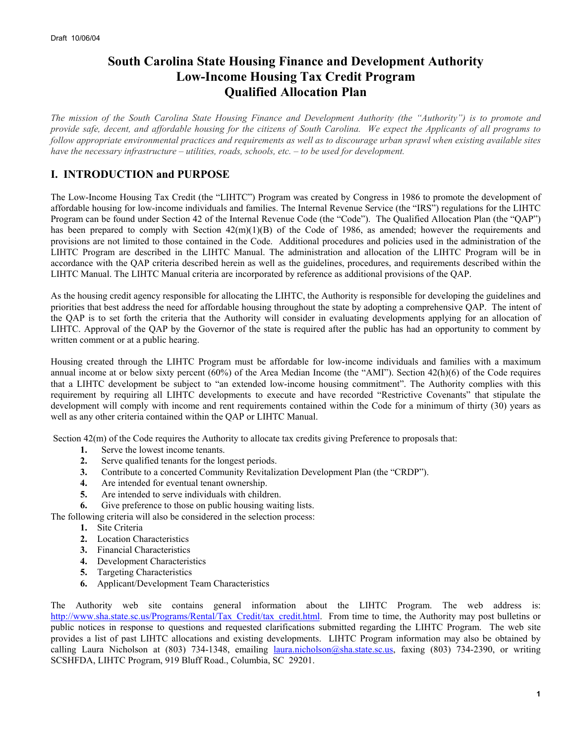# **South Carolina State Housing Finance and Development Authority Low-Income Housing Tax Credit Program Qualified Allocation Plan**

*The mission of the South Carolina State Housing Finance and Development Authority (the "Authority") is to promote and provide safe, decent, and affordable housing for the citizens of South Carolina. We expect the Applicants of all programs to follow appropriate environmental practices and requirements as well as to discourage urban sprawl when existing available sites have the necessary infrastructure – utilities, roads, schools, etc. – to be used for development.* 

# **I. INTRODUCTION and PURPOSE**

The Low-Income Housing Tax Credit (the "LIHTC") Program was created by Congress in 1986 to promote the development of affordable housing for low-income individuals and families. The Internal Revenue Service (the "IRS") regulations for the LIHTC Program can be found under Section 42 of the Internal Revenue Code (the "Code"). The Qualified Allocation Plan (the "QAP") has been prepared to comply with Section  $42(m)(1)(B)$  of the Code of 1986, as amended; however the requirements and provisions are not limited to those contained in the Code. Additional procedures and policies used in the administration of the LIHTC Program are described in the LIHTC Manual. The administration and allocation of the LIHTC Program will be in accordance with the QAP criteria described herein as well as the guidelines, procedures, and requirements described within the LIHTC Manual. The LIHTC Manual criteria are incorporated by reference as additional provisions of the QAP.

As the housing credit agency responsible for allocating the LIHTC, the Authority is responsible for developing the guidelines and priorities that best address the need for affordable housing throughout the state by adopting a comprehensive QAP. The intent of the QAP is to set forth the criteria that the Authority will consider in evaluating developments applying for an allocation of LIHTC. Approval of the QAP by the Governor of the state is required after the public has had an opportunity to comment by written comment or at a public hearing.

Housing created through the LIHTC Program must be affordable for low-income individuals and families with a maximum annual income at or below sixty percent (60%) of the Area Median Income (the "AMI"). Section 42(h)(6) of the Code requires that a LIHTC development be subject to "an extended low-income housing commitment". The Authority complies with this requirement by requiring all LIHTC developments to execute and have recorded "Restrictive Covenants" that stipulate the development will comply with income and rent requirements contained within the Code for a minimum of thirty (30) years as well as any other criteria contained within the QAP or LIHTC Manual.

Section 42(m) of the Code requires the Authority to allocate tax credits giving Preference to proposals that:

- **1.** Serve the lowest income tenants.
- **2.** Serve qualified tenants for the longest periods.
- **3.** Contribute to a concerted Community Revitalization Development Plan (the "CRDP").
- **4.** Are intended for eventual tenant ownership.
- **5.** Are intended to serve individuals with children.
- **6.** Give preference to those on public housing waiting lists.

The following criteria will also be considered in the selection process:

- **1.** Site Criteria
- **2.** Location Characteristics
- **3.** Financial Characteristics
- **4.** Development Characteristics
- **5.** Targeting Characteristics
- **6.** Applicant/Development Team Characteristics

The Authority web site contains general information about the LIHTC Program. The web address is: http://www.sha.state.sc.us/Programs/Rental/Tax\_Credit/tax\_credit.html. From time to time, the Authority may post bulletins or public notices in response to questions and requested clarifications submitted regarding the LIHTC Program. The web site provides a list of past LIHTC allocations and existing developments. LIHTC Program information may also be obtained by calling Laura Nicholson at (803) 734-1348, emailing *laura.nicholson@sha.state.sc.us*, faxing (803) 734-2390, or writing SCSHFDA, LIHTC Program, 919 Bluff Road., Columbia, SC 29201.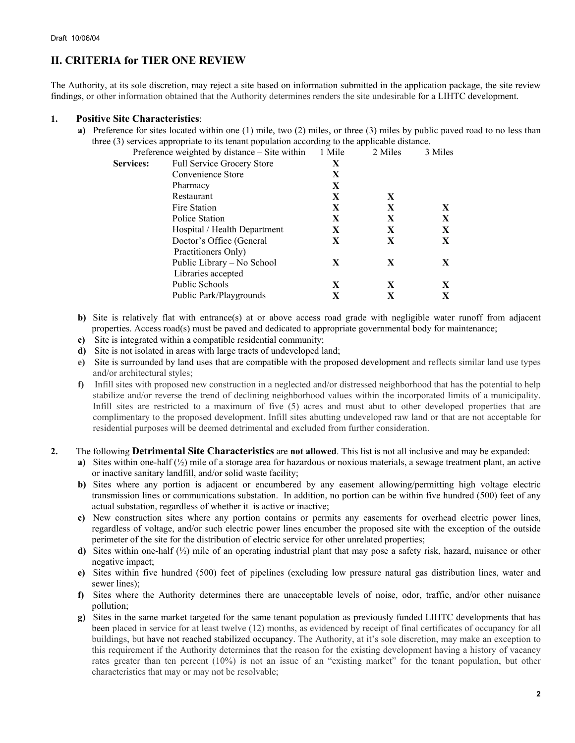# **II. CRITERIA for TIER ONE REVIEW**

The Authority, at its sole discretion, may reject a site based on information submitted in the application package, the site review findings, or other information obtained that the Authority determines renders the site undesirable for a LIHTC development.

### **1. Positive Site Characteristics**:

**a)** Preference for sites located within one (1) mile, two (2) miles, or three (3) miles by public paved road to no less than three (3) services appropriate to its tenant population according to the applicable distance.

|                  | Preference weighted by distance – Site within | 1 Mile | 2 Miles | 3 Miles |
|------------------|-----------------------------------------------|--------|---------|---------|
| <b>Services:</b> | <b>Full Service Grocery Store</b>             | X      |         |         |
|                  | Convenience Store                             | X      |         |         |
|                  | Pharmacy                                      | X      |         |         |
|                  | Restaurant                                    | X      | X       |         |
|                  | Fire Station                                  | X      | X       | X       |
|                  | Police Station                                | X      | X       | X       |
|                  | Hospital / Health Department                  | X      | X       | X       |
|                  | Doctor's Office (General                      | X      | X       | X       |
|                  | Practitioners Only)                           |        |         |         |
|                  | Public Library - No School                    | X      | X       | X       |
|                  | Libraries accepted                            |        |         |         |
|                  | Public Schools                                | X      | X       | X       |
|                  | Public Park/Playgrounds                       |        | X       |         |
|                  |                                               |        |         |         |

- **b)** Site is relatively flat with entrance(s) at or above access road grade with negligible water runoff from adjacent properties. Access road(s) must be paved and dedicated to appropriate governmental body for maintenance;
- **c)** Site is integrated within a compatible residential community;
- **d)** Site is not isolated in areas with large tracts of undeveloped land;
- **e)** Site is surrounded by land uses that are compatible with the proposed development and reflects similar land use types and/or architectural styles;
- **f)** Infill sites with proposed new construction in a neglected and/or distressed neighborhood that has the potential to help stabilize and/or reverse the trend of declining neighborhood values within the incorporated limits of a municipality. Infill sites are restricted to a maximum of five (5) acres and must abut to other developed properties that are complimentary to the proposed development. Infill sites abutting undeveloped raw land or that are not acceptable for residential purposes will be deemed detrimental and excluded from further consideration.
- **2.** The following **Detrimental Site Characteristics** are **not allowed**. This list is not all inclusive and may be expanded:
	- **a)** Sites within one-half (½) mile of a storage area for hazardous or noxious materials, a sewage treatment plant, an active or inactive sanitary landfill, and/or solid waste facility;
	- **b)** Sites where any portion is adjacent or encumbered by any easement allowing/permitting high voltage electric transmission lines or communications substation. In addition, no portion can be within five hundred (500) feet of any actual substation, regardless of whether it is active or inactive;
	- **c)** New construction sites where any portion contains or permits any easements for overhead electric power lines, regardless of voltage, and/or such electric power lines encumber the proposed site with the exception of the outside perimeter of the site for the distribution of electric service for other unrelated properties;
	- **d)** Sites within one-half (½) mile of an operating industrial plant that may pose a safety risk, hazard, nuisance or other negative impact;
	- **e)** Sites within five hundred (500) feet of pipelines (excluding low pressure natural gas distribution lines, water and sewer lines);
	- **f)** Sites where the Authority determines there are unacceptable levels of noise, odor, traffic, and/or other nuisance pollution;
	- **g)** Sites in the same market targeted for the same tenant population as previously funded LIHTC developments that has been placed in service for at least twelve (12) months, as evidenced by receipt of final certificates of occupancy for all buildings, but have not reached stabilized occupancy. The Authority, at it's sole discretion, may make an exception to this requirement if the Authority determines that the reason for the existing development having a history of vacancy rates greater than ten percent (10%) is not an issue of an "existing market" for the tenant population, but other characteristics that may or may not be resolvable;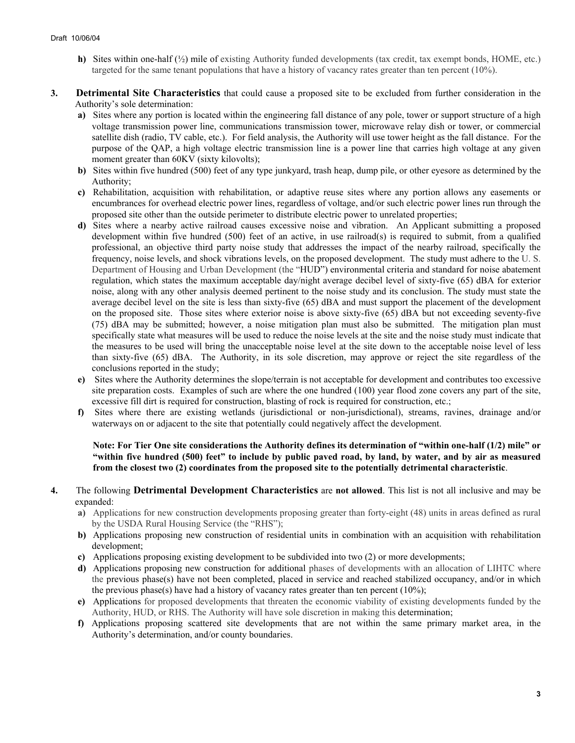- **h)** Sites within one-half (½) mile of existing Authority funded developments (tax credit, tax exempt bonds, HOME, etc.) targeted for the same tenant populations that have a history of vacancy rates greater than ten percent (10%).
- **3. Detrimental Site Characteristics** that could cause a proposed site to be excluded from further consideration in the Authority's sole determination:
	- **a)** Sites where any portion is located within the engineering fall distance of any pole, tower or support structure of a high voltage transmission power line, communications transmission tower, microwave relay dish or tower, or commercial satellite dish (radio, TV cable, etc.). For field analysis, the Authority will use tower height as the fall distance. For the purpose of the QAP, a high voltage electric transmission line is a power line that carries high voltage at any given moment greater than 60KV (sixty kilovolts);
	- **b)** Sites within five hundred (500) feet of any type junkyard, trash heap, dump pile, or other eyesore as determined by the Authority;
	- **c)** Rehabilitation, acquisition with rehabilitation, or adaptive reuse sites where any portion allows any easements or encumbrances for overhead electric power lines, regardless of voltage, and/or such electric power lines run through the proposed site other than the outside perimeter to distribute electric power to unrelated properties;
	- **d)** Sites where a nearby active railroad causes excessive noise and vibration. An Applicant submitting a proposed development within five hundred (500) feet of an active, in use railroad(s) is required to submit, from a qualified professional, an objective third party noise study that addresses the impact of the nearby railroad, specifically the frequency, noise levels, and shock vibrations levels, on the proposed development. The study must adhere to the U. S. Department of Housing and Urban Development (the "HUD") environmental criteria and standard for noise abatement regulation, which states the maximum acceptable day/night average decibel level of sixty-five (65) dBA for exterior noise, along with any other analysis deemed pertinent to the noise study and its conclusion. The study must state the average decibel level on the site is less than sixty-five (65) dBA and must support the placement of the development on the proposed site. Those sites where exterior noise is above sixty-five (65) dBA but not exceeding seventy-five (75) dBA may be submitted; however, a noise mitigation plan must also be submitted. The mitigation plan must specifically state what measures will be used to reduce the noise levels at the site and the noise study must indicate that the measures to be used will bring the unacceptable noise level at the site down to the acceptable noise level of less than sixty-five (65) dBA. The Authority, in its sole discretion, may approve or reject the site regardless of the conclusions reported in the study;
	- **e)** Sites where the Authority determines the slope/terrain is not acceptable for development and contributes too excessive site preparation costs. Examples of such are where the one hundred (100) year flood zone covers any part of the site, excessive fill dirt is required for construction, blasting of rock is required for construction, etc.;
	- **f)** Sites where there are existing wetlands (jurisdictional or non-jurisdictional), streams, ravines, drainage and/or waterways on or adjacent to the site that potentially could negatively affect the development.

### **Note: For Tier One site considerations the Authority defines its determination of "within one-half (1/2) mile" or "within five hundred (500) feet" to include by public paved road, by land, by water, and by air as measured from the closest two (2) coordinates from the proposed site to the potentially detrimental characteristic**.

- **4.** The following **Detrimental Development Characteristics** are **not allowed**. This list is not all inclusive and may be expanded:
	- **a)** Applications for new construction developments proposing greater than forty-eight (48) units in areas defined as rural by the USDA Rural Housing Service (the "RHS");
	- **b)** Applications proposing new construction of residential units in combination with an acquisition with rehabilitation development;
	- **c)** Applications proposing existing development to be subdivided into two (2) or more developments;
	- **d)** Applications proposing new construction for additional phases of developments with an allocation of LIHTC where the previous phase(s) have not been completed, placed in service and reached stabilized occupancy, and/or in which the previous phase(s) have had a history of vacancy rates greater than ten percent (10%);
	- **e)** Applications for proposed developments that threaten the economic viability of existing developments funded by the Authority, HUD, or RHS. The Authority will have sole discretion in making this determination;
	- **f)** Applications proposing scattered site developments that are not within the same primary market area, in the Authority's determination, and/or county boundaries.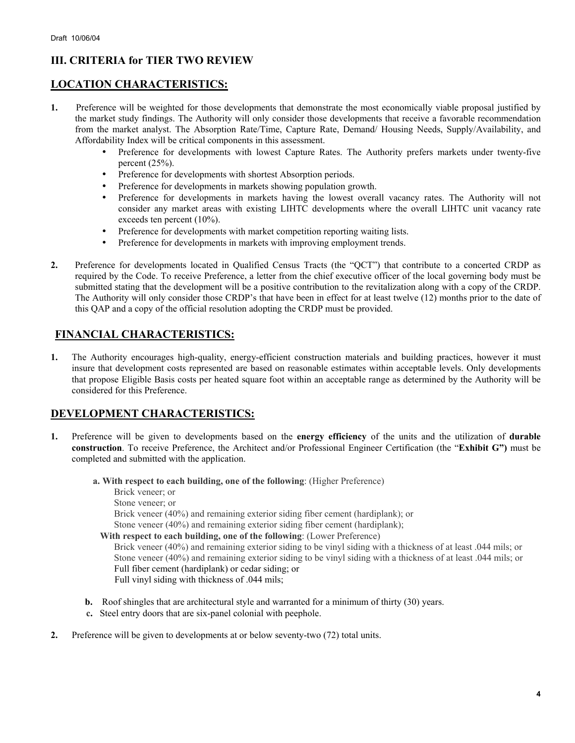# **III. CRITERIA for TIER TWO REVIEW**

# **LOCATION CHARACTERISTICS:**

- **1.** Preference will be weighted for those developments that demonstrate the most economically viable proposal justified by the market study findings. The Authority will only consider those developments that receive a favorable recommendation from the market analyst. The Absorption Rate/Time, Capture Rate, Demand/ Housing Needs, Supply/Availability, and Affordability Index will be critical components in this assessment.
	- Preference for developments with lowest Capture Rates. The Authority prefers markets under twenty-five percent  $(25\%)$ .
	- Preference for developments with shortest Absorption periods.
	- Preference for developments in markets showing population growth.
	- Preference for developments in markets having the lowest overall vacancy rates. The Authority will not consider any market areas with existing LIHTC developments where the overall LIHTC unit vacancy rate exceeds ten percent (10%).
	- Preference for developments with market competition reporting waiting lists.
	- Preference for developments in markets with improving employment trends.
- **2.** Preference for developments located in Qualified Census Tracts (the "QCT") that contribute to a concerted CRDP as required by the Code. To receive Preference, a letter from the chief executive officer of the local governing body must be submitted stating that the development will be a positive contribution to the revitalization along with a copy of the CRDP. The Authority will only consider those CRDP's that have been in effect for at least twelve (12) months prior to the date of this QAP and a copy of the official resolution adopting the CRDP must be provided.

# **FINANCIAL CHARACTERISTICS:**

**1.** The Authority encourages high-quality, energy-efficient construction materials and building practices, however it must insure that development costs represented are based on reasonable estimates within acceptable levels. Only developments that propose Eligible Basis costs per heated square foot within an acceptable range as determined by the Authority will be considered for this Preference.

# **DEVELOPMENT CHARACTERISTICS:**

- **1.** Preference will be given to developments based on the **energy efficiency** of the units and the utilization of **durable construction**. To receive Preference, the Architect and/or Professional Engineer Certification (the "**Exhibit G")** must be completed and submitted with the application.
	- **a. With respect to each building, one of the following**: (Higher Preference)

Brick veneer; or

Stone veneer; or

Brick veneer (40%) and remaining exterior siding fiber cement (hardiplank); or

Stone veneer (40%) and remaining exterior siding fiber cement (hardiplank);

 **With respect to each building, one of the following**: (Lower Preference)

Brick veneer (40%) and remaining exterior siding to be vinyl siding with a thickness of at least .044 mils; or Stone veneer (40%) and remaining exterior siding to be vinyl siding with a thickness of at least .044 mils; or Full fiber cement (hardiplank) or cedar siding; or Full vinyl siding with thickness of .044 mils;

- **b.** Roof shingles that are architectural style and warranted for a minimum of thirty (30) years.
- **c.** Steel entry doors that are six-panel colonial with peephole.
- **2.** Preference will be given to developments at or below seventy-two (72) total units.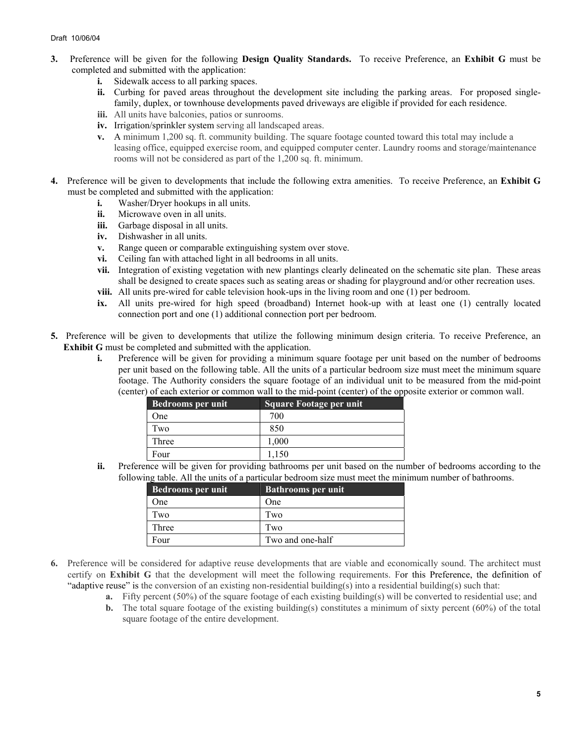- **3.** Preference will be given for the following **Design Quality Standards.** To receive Preference, an **Exhibit G** must be completed and submitted with the application:
	- **i.** Sidewalk access to all parking spaces.
	- **ii.** Curbing for paved areas throughout the development site including the parking areas. For proposed singlefamily, duplex, or townhouse developments paved driveways are eligible if provided for each residence.
	- **iii.** All units have balconies, patios or sunrooms.
	- **iv.** Irrigation/sprinkler system serving all landscaped areas.
	- **v.** A minimum 1,200 sq. ft. community building. The square footage counted toward this total may include a leasing office, equipped exercise room, and equipped computer center. Laundry rooms and storage/maintenance rooms will not be considered as part of the 1,200 sq. ft. minimum.
- **4.** Preference will be given to developments that include the following extra amenities. To receive Preference, an **Exhibit G** must be completed and submitted with the application:
	- **i.** Washer/Drver hookups in all units.
	- **ii.** Microwave oven in all units.
	- **iii.** Garbage disposal in all units.
	- **iv.** Dishwasher in all units.
	- **v.** Range queen or comparable extinguishing system over stove.
	- **vi.** Ceiling fan with attached light in all bedrooms in all units.
	- **vii.** Integration of existing vegetation with new plantings clearly delineated on the schematic site plan. These areas shall be designed to create spaces such as seating areas or shading for playground and/or other recreation uses.
	- **viii.** All units pre-wired for cable television hook-ups in the living room and one (1) per bedroom.
	- **ix.** All units pre-wired for high speed (broadband) Internet hook-up with at least one (1) centrally located connection port and one (1) additional connection port per bedroom.
- **5.** Preference will be given to developments that utilize the following minimum design criteria. To receive Preference, an **Exhibit G** must be completed and submitted with the application.
	- **i.** Preference will be given for providing a minimum square footage per unit based on the number of bedrooms per unit based on the following table. All the units of a particular bedroom size must meet the minimum square footage. The Authority considers the square footage of an individual unit to be measured from the mid-point (center) of each exterior or common wall to the mid-point (center) of the opposite exterior or common wall.

| <b>Bedrooms per unit</b> | <b>Square Footage per unit</b> |
|--------------------------|--------------------------------|
| One)                     | 700                            |
| I`wo                     | 850                            |
| Three                    | 1.000                          |
| Four                     |                                |

**ii.** Preference will be given for providing bathrooms per unit based on the number of bedrooms according to the following table. All the units of a particular bedroom size must meet the minimum number of bathrooms.

| Bedrooms per unit | <b>Bathrooms per unit</b> |
|-------------------|---------------------------|
| One               | One                       |
| Two               | Two                       |
| Three             | Two                       |
| Four              | Two and one-half          |

- **6.** Preference will be considered for adaptive reuse developments that are viable and economically sound. The architect must certify on **Exhibit G** that the development will meet the following requirements. For this Preference, the definition of "adaptive reuse" is the conversion of an existing non-residential building(s) into a residential building(s) such that:
	- **a.** Fifty percent (50%) of the square footage of each existing building(s) will be converted to residential use; and
	- **b.** The total square footage of the existing building(s) constitutes a minimum of sixty percent (60%) of the total square footage of the entire development.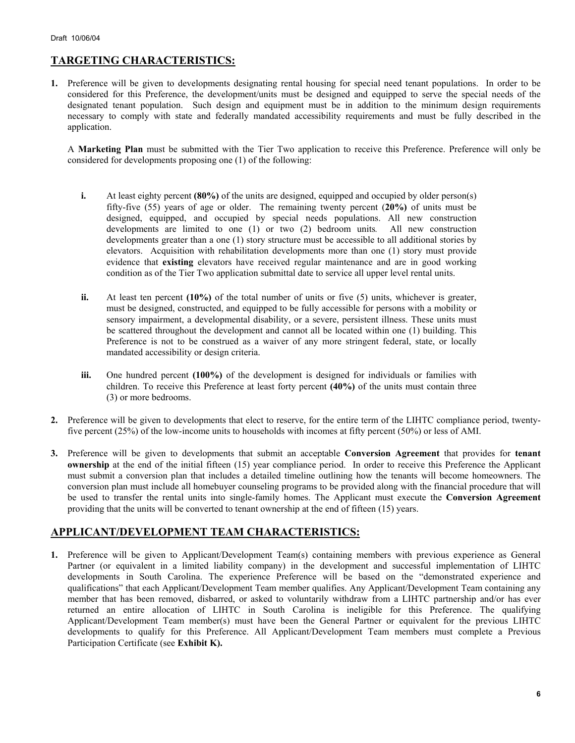# **TARGETING CHARACTERISTICS:**

**1.** Preference will be given to developments designating rental housing for special need tenant populations. In order to be considered for this Preference, the development/units must be designed and equipped to serve the special needs of the designated tenant population. Such design and equipment must be in addition to the minimum design requirements necessary to comply with state and federally mandated accessibility requirements and must be fully described in the application.

A **Marketing Plan** must be submitted with the Tier Two application to receive this Preference. Preference will only be considered for developments proposing one (1) of the following:

- **i.** At least eighty percent **(80%)** of the units are designed, equipped and occupied by older person(s) fifty-five (55) years of age or older. The remaining twenty percent (**20%)** of units must be designed, equipped, and occupied by special needs populations. All new construction developments are limited to one (1) or two (2) bedroom units*.* All new construction developments greater than a one (1) story structure must be accessible to all additional stories by elevators.Acquisition with rehabilitation developments more than one (1) story must provide evidence that **existing** elevators have received regular maintenance and are in good working condition as of the Tier Two application submittal date to service all upper level rental units.
- **ii.** At least ten percent (10%) of the total number of units or five (5) units, whichever is greater, must be designed, constructed, and equipped to be fully accessible for persons with a mobility or sensory impairment, a developmental disability, or a severe, persistent illness. These units must be scattered throughout the development and cannot all be located within one (1) building. This Preference is not to be construed as a waiver of any more stringent federal, state, or locally mandated accessibility or design criteria.
- **iii.** One hundred percent (100%) of the development is designed for individuals or families with children. To receive this Preference at least forty percent **(40%)** of the units must contain three (3) or more bedrooms.
- **2.** Preference will be given to developments that elect to reserve, for the entire term of the LIHTC compliance period, twentyfive percent (25%) of the low-income units to households with incomes at fifty percent (50%) or less of AMI.
- **3.** Preference will be given to developments that submit an acceptable **Conversion Agreement** that provides for **tenant ownership** at the end of the initial fifteen (15) year compliance period. In order to receive this Preference the Applicant must submit a conversion plan that includes a detailed timeline outlining how the tenants will become homeowners. The conversion plan must include all homebuyer counseling programs to be provided along with the financial procedure that will be used to transfer the rental units into single-family homes. The Applicant must execute the **Conversion Agreement** providing that the units will be converted to tenant ownership at the end of fifteen (15) years.

# **APPLICANT/DEVELOPMENT TEAM CHARACTERISTICS:**

**1.** Preference will be given to Applicant/Development Team(s) containing members with previous experience as General Partner (or equivalent in a limited liability company) in the development and successful implementation of LIHTC developments in South Carolina. The experience Preference will be based on the "demonstrated experience and qualifications" that each Applicant/Development Team member qualifies. Any Applicant/Development Team containing any member that has been removed, disbarred, or asked to voluntarily withdraw from a LIHTC partnership and/or has ever returned an entire allocation of LIHTC in South Carolina is ineligible for this Preference. The qualifying Applicant/Development Team member(s) must have been the General Partner or equivalent for the previous LIHTC developments to qualify for this Preference. All Applicant/Development Team members must complete a Previous Participation Certificate (see **Exhibit K).**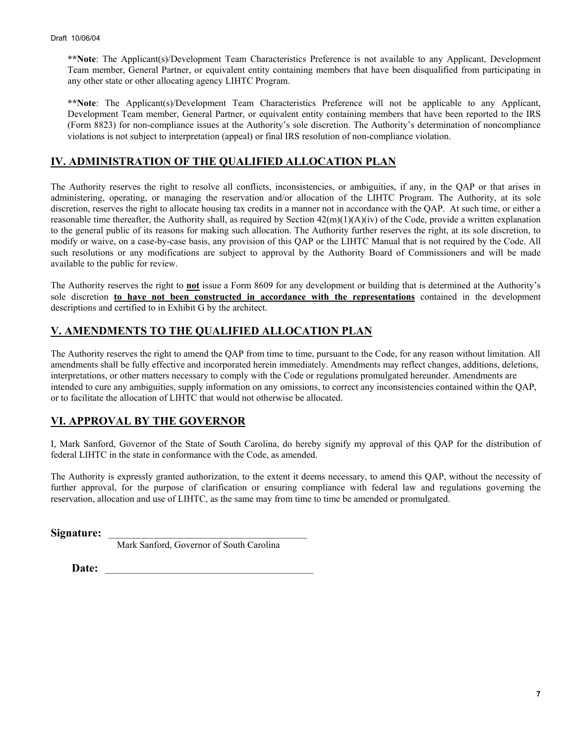**\*\*Note**: The Applicant(s)/Development Team Characteristics Preference is not available to any Applicant, Development Team member, General Partner, or equivalent entity containing members that have been disqualified from participating in any other state or other allocating agency LIHTC Program.

**\*\*Note**: The Applicant(s)/Development Team Characteristics Preference will not be applicable to any Applicant, Development Team member, General Partner, or equivalent entity containing members that have been reported to the IRS (Form 8823) for non-compliance issues at the Authority's sole discretion. The Authority's determination of noncompliance violations is not subject to interpretation (appeal) or final IRS resolution of non-compliance violation.

# **IV. ADMINISTRATION OF THE QUALIFIED ALLOCATION PLAN**

The Authority reserves the right to resolve all conflicts, inconsistencies, or ambiguities, if any, in the QAP or that arises in administering, operating, or managing the reservation and/or allocation of the LIHTC Program. The Authority, at its sole discretion, reserves the right to allocate housing tax credits in a manner not in accordance with the QAP. At such time, or either a reasonable time thereafter, the Authority shall, as required by Section  $42(m)(1)(A)(iv)$  of the Code, provide a written explanation to the general public of its reasons for making such allocation. The Authority further reserves the right, at its sole discretion, to modify or waive, on a case-by-case basis, any provision of this QAP or the LIHTC Manual that is not required by the Code. All such resolutions or any modifications are subject to approval by the Authority Board of Commissioners and will be made available to the public for review.

The Authority reserves the right to **not** issue a Form 8609 for any development or building that is determined at the Authority's sole discretion **to have not been constructed in accordance with the representations** contained in the development descriptions and certified to in Exhibit G by the architect.

# **V. AMENDMENTS TO THE QUALIFIED ALLOCATION PLAN**

The Authority reserves the right to amend the QAP from time to time, pursuant to the Code, for any reason without limitation. All amendments shall be fully effective and incorporated herein immediately. Amendments may reflect changes, additions, deletions, interpretations, or other matters necessary to comply with the Code or regulations promulgated hereunder. Amendments are intended to cure any ambiguities, supply information on any omissions, to correct any inconsistencies contained within the QAP, or to facilitate the allocation of LIHTC that would not otherwise be allocated.

# **VI. APPROVAL BY THE GOVERNOR**

I, Mark Sanford, Governor of the State of South Carolina, do hereby signify my approval of this QAP for the distribution of federal LIHTC in the state in conformance with the Code, as amended.

The Authority is expressly granted authorization, to the extent it deems necessary, to amend this QAP, without the necessity of further approval, for the purpose of clarification or ensuring compliance with federal law and regulations governing the reservation, allocation and use of LIHTC, as the same may from time to time be amended or promulgated.

Signature:

Mark Sanford, Governor of South Carolina

Date: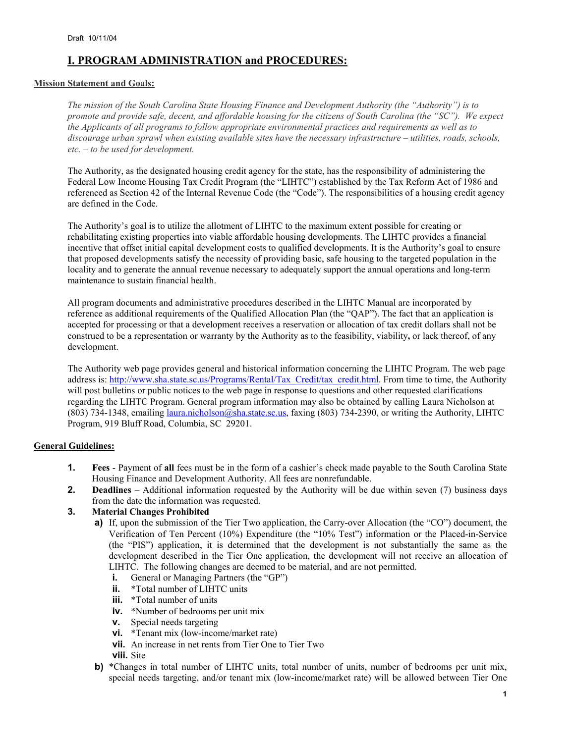# **I. PROGRAM ADMINISTRATION and PROCEDURES:**

### **Mission Statement and Goals:**

*The mission of the South Carolina State Housing Finance and Development Authority (the "Authority") is to promote and provide safe, decent, and affordable housing for the citizens of South Carolina (the "SC"). We expect the Applicants of all programs to follow appropriate environmental practices and requirements as well as to discourage urban sprawl when existing available sites have the necessary infrastructure – utilities, roads, schools, etc. – to be used for development.* 

The Authority, as the designated housing credit agency for the state, has the responsibility of administering the Federal Low Income Housing Tax Credit Program (the "LIHTC") established by the Tax Reform Act of 1986 and referenced as Section 42 of the Internal Revenue Code (the "Code"). The responsibilities of a housing credit agency are defined in the Code.

The Authority's goal is to utilize the allotment of LIHTC to the maximum extent possible for creating or rehabilitating existing properties into viable affordable housing developments. The LIHTC provides a financial incentive that offset initial capital development costs to qualified developments. It is the Authority's goal to ensure that proposed developments satisfy the necessity of providing basic, safe housing to the targeted population in the locality and to generate the annual revenue necessary to adequately support the annual operations and long-term maintenance to sustain financial health.

All program documents and administrative procedures described in the LIHTC Manual are incorporated by reference as additional requirements of the Qualified Allocation Plan (the "QAP"). The fact that an application is accepted for processing or that a development receives a reservation or allocation of tax credit dollars shall not be construed to be a representation or warranty by the Authority as to the feasibility, viability**,** or lack thereof, of any development.

The Authority web page provides general and historical information concerning the LIHTC Program. The web page address is: http://www.sha.state.sc.us/Programs/Rental/Tax\_Credit/tax\_credit.html. From time to time, the Authority will post bulletins or public notices to the web page in response to questions and other requested clarifications regarding the LIHTC Program. General program information may also be obtained by calling Laura Nicholson at (803) 734-1348, emailing *laura.nicholson@sha.state.sc.us*, faxing (803) 734-2390, or writing the Authority, LIHTC Program, 919 Bluff Road, Columbia, SC 29201.

### **General Guidelines:**

- **1. Fees** Payment of **all** fees must be in the form of a cashier's check made payable to the South Carolina State Housing Finance and Development Authority. All fees are nonrefundable.
- **2. Deadlines** Additional information requested by the Authority will be due within seven (7) business days from the date the information was requested.

### **3. Material Changes Prohibited**

- **a)** If, upon the submission of the Tier Two application, the Carry-over Allocation (the "CO") document, the Verification of Ten Percent (10%) Expenditure (the "10% Test") information or the Placed-in-Service (the "PIS") application, it is determined that the development is not substantially the same as the development described in the Tier One application, the development will not receive an allocation of LIHTC. The following changes are deemed to be material, and are not permitted.
	- **i.** General or Managing Partners (the "GP")
	- **ii.** \*Total number of LIHTC units
	- **iii.** \*Total number of units
	- **iv.** \*Number of bedrooms per unit mix
	- **v.** Special needs targeting
	- **vi.** \*Tenant mix (low-income/market rate)
	- **vii.** An increase in net rents from Tier One to Tier Two
	- **viii.** Site
- **b)** \*Changes in total number of LIHTC units, total number of units, number of bedrooms per unit mix, special needs targeting, and/or tenant mix (low-income/market rate) will be allowed between Tier One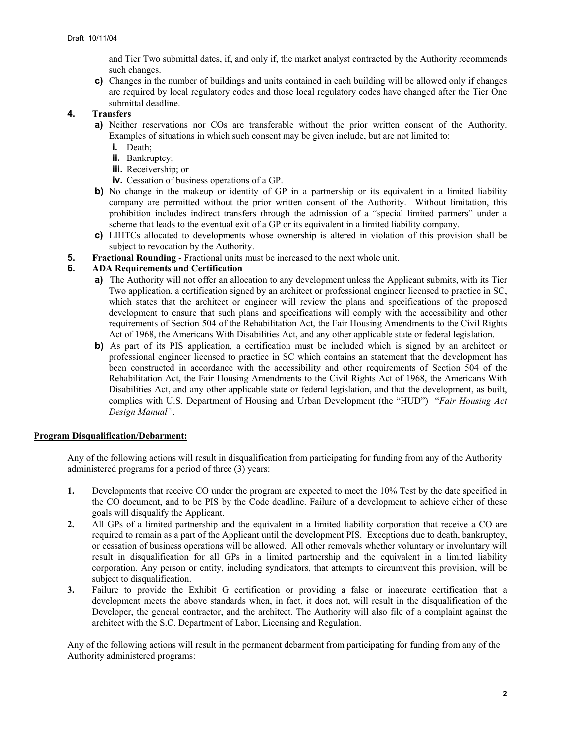and Tier Two submittal dates, if, and only if, the market analyst contracted by the Authority recommends such changes.

**c)** Changes in the number of buildings and units contained in each building will be allowed only if changes are required by local regulatory codes and those local regulatory codes have changed after the Tier One submittal deadline.

### **4. Transfers**

- **a)** Neither reservations nor COs are transferable without the prior written consent of the Authority. Examples of situations in which such consent may be given include, but are not limited to:
	- **i.** Death;
	- **ii.** Bankruptcy;
	- **iii.** Receivership; or
	- **iv.** Cessation of business operations of a GP.
- **b)** No change in the makeup or identity of GP in a partnership or its equivalent in a limited liability company are permitted without the prior written consent of the Authority. Without limitation, this prohibition includes indirect transfers through the admission of a "special limited partners" under a scheme that leads to the eventual exit of a GP or its equivalent in a limited liability company.
- **c)** LIHTCs allocated to developments whose ownership is altered in violation of this provision shall be subject to revocation by the Authority.
- **5. Fractional Rounding** Fractional units must be increased to the next whole unit.

### **6. ADA Requirements and Certification**

- **a)** The Authority will not offer an allocation to any development unless the Applicant submits, with its Tier Two application, a certification signed by an architect or professional engineer licensed to practice in SC, which states that the architect or engineer will review the plans and specifications of the proposed development to ensure that such plans and specifications will comply with the accessibility and other requirements of Section 504 of the Rehabilitation Act, the Fair Housing Amendments to the Civil Rights Act of 1968, the Americans With Disabilities Act, and any other applicable state or federal legislation.
- **b)** As part of its PIS application, a certification must be included which is signed by an architect or professional engineer licensed to practice in SC which contains an statement that the development has been constructed in accordance with the accessibility and other requirements of Section 504 of the Rehabilitation Act, the Fair Housing Amendments to the Civil Rights Act of 1968, the Americans With Disabilities Act, and any other applicable state or federal legislation, and that the development, as built, complies with U.S. Department of Housing and Urban Development (the "HUD") "*Fair Housing Act Design Manual"*.

### **Program Disqualification/Debarment:**

Any of the following actions will result in disqualification from participating for funding from any of the Authority administered programs for a period of three (3) years:

- **1.** Developments that receive CO under the program are expected to meet the 10% Test by the date specified in the CO document, and to be PIS by the Code deadline. Failure of a development to achieve either of these goals will disqualify the Applicant.
- **2.** All GPs of a limited partnership and the equivalent in a limited liability corporation that receive a CO are required to remain as a part of the Applicant until the development PIS. Exceptions due to death, bankruptcy, or cessation of business operations will be allowed. All other removals whether voluntary or involuntary will result in disqualification for all GPs in a limited partnership and the equivalent in a limited liability corporation. Any person or entity, including syndicators, that attempts to circumvent this provision, will be subject to disqualification.
- **3.** Failure to provide the Exhibit G certification or providing a false or inaccurate certification that a development meets the above standards when, in fact, it does not, will result in the disqualification of the Developer, the general contractor, and the architect. The Authority will also file of a complaint against the architect with the S.C. Department of Labor, Licensing and Regulation.

Any of the following actions will result in the <u>permanent debarment</u> from participating for funding from any of the Authority administered programs: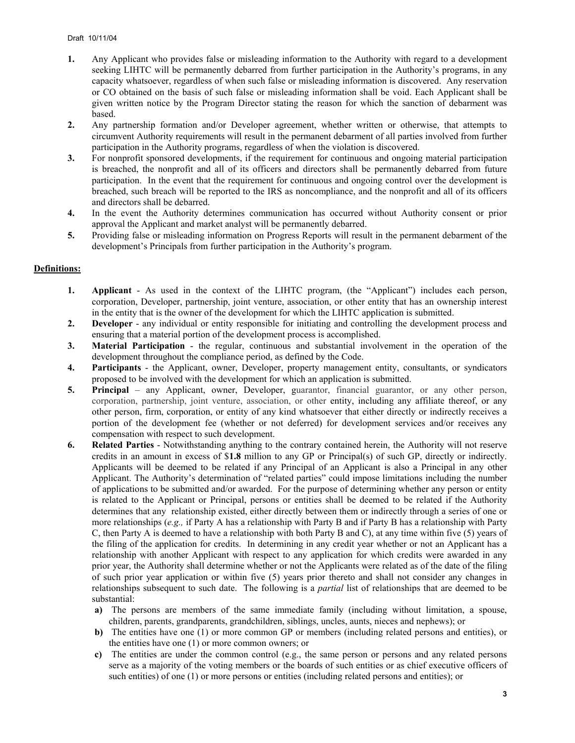- **1.** Any Applicant who provides false or misleading information to the Authority with regard to a development seeking LIHTC will be permanently debarred from further participation in the Authority's programs, in any capacity whatsoever, regardless of when such false or misleading information is discovered. Any reservation or CO obtained on the basis of such false or misleading information shall be void. Each Applicant shall be given written notice by the Program Director stating the reason for which the sanction of debarment was based.
- **2.** Any partnership formation and/or Developer agreement, whether written or otherwise, that attempts to circumvent Authority requirements will result in the permanent debarment of all parties involved from further participation in the Authority programs, regardless of when the violation is discovered.
- **3.** For nonprofit sponsored developments, if the requirement for continuous and ongoing material participation is breached, the nonprofit and all of its officers and directors shall be permanently debarred from future participation. In the event that the requirement for continuous and ongoing control over the development is breached, such breach will be reported to the IRS as noncompliance, and the nonprofit and all of its officers and directors shall be debarred.
- **4.** In the event the Authority determines communication has occurred without Authority consent or prior approval the Applicant and market analyst will be permanently debarred.
- **5.** Providing false or misleading information on Progress Reports will result in the permanent debarment of the development's Principals from further participation in the Authority's program.

### **Definitions:**

- **1. Applicant** As used in the context of the LIHTC program, (the "Applicant") includes each person, corporation, Developer, partnership, joint venture, association, or other entity that has an ownership interest in the entity that is the owner of the development for which the LIHTC application is submitted.
- **2. Developer** any individual or entity responsible for initiating and controlling the development process and ensuring that a material portion of the development process is accomplished.
- **3. Material Participation**  the regular, continuous and substantial involvement in the operation of the development throughout the compliance period, as defined by the Code.
- **4. Participants** the Applicant, owner, Developer, property management entity, consultants, or syndicators proposed to be involved with the development for which an application is submitted.
- **5. Principal** any Applicant, owner, Developer, guarantor, financial guarantor, or any other person, corporation, partnership, joint venture, association, or other entity, including any affiliate thereof, or any other person, firm, corporation, or entity of any kind whatsoever that either directly or indirectly receives a portion of the development fee (whether or not deferred) for development services and/or receives any compensation with respect to such development.
- **6. Related Parties** Notwithstanding anything to the contrary contained herein, the Authority will not reserve credits in an amount in excess of \$**1.8** million to any GP or Principal(s) of such GP, directly or indirectly. Applicants will be deemed to be related if any Principal of an Applicant is also a Principal in any other Applicant. The Authority's determination of "related parties" could impose limitations including the number of applications to be submitted and/or awarded. For the purpose of determining whether any person or entity is related to the Applicant or Principal, persons or entities shall be deemed to be related if the Authority determines that any relationship existed, either directly between them or indirectly through a series of one or more relationships (*e.g.,* if Party A has a relationship with Party B and if Party B has a relationship with Party C, then Party A is deemed to have a relationship with both Party B and C), at any time within five (5) years of the filing of the application for credits. In determining in any credit year whether or not an Applicant has a relationship with another Applicant with respect to any application for which credits were awarded in any prior year, the Authority shall determine whether or not the Applicants were related as of the date of the filing of such prior year application or within five (5) years prior thereto and shall not consider any changes in relationships subsequent to such date. The following is a *partial* list of relationships that are deemed to be substantial:
	- **a)** The persons are members of the same immediate family (including without limitation, a spouse, children, parents, grandparents, grandchildren, siblings, uncles, aunts, nieces and nephews); or
	- **b)** The entities have one (1) or more common GP or members (including related persons and entities), or the entities have one (1) or more common owners; or
	- **c)** The entities are under the common control (e.g., the same person or persons and any related persons serve as a majority of the voting members or the boards of such entities or as chief executive officers of such entities) of one (1) or more persons or entities (including related persons and entities); or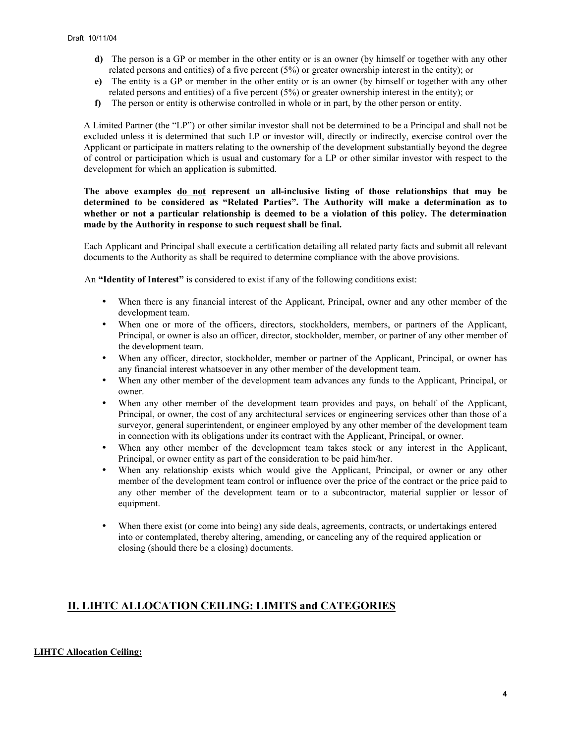- **d)** The person is a GP or member in the other entity or is an owner (by himself or together with any other related persons and entities) of a five percent (5%) or greater ownership interest in the entity); or
- **e)** The entity is a GP or member in the other entity or is an owner (by himself or together with any other related persons and entities) of a five percent (5%) or greater ownership interest in the entity); or
- **f)** The person or entity is otherwise controlled in whole or in part, by the other person or entity.

A Limited Partner (the "LP") or other similar investor shall not be determined to be a Principal and shall not be excluded unless it is determined that such LP or investor will, directly or indirectly, exercise control over the Applicant or participate in matters relating to the ownership of the development substantially beyond the degree of control or participation which is usual and customary for a LP or other similar investor with respect to the development for which an application is submitted.

### **The above examples do not represent an all-inclusive listing of those relationships that may be determined to be considered as "Related Parties". The Authority will make a determination as to whether or not a particular relationship is deemed to be a violation of this policy. The determination made by the Authority in response to such request shall be final.**

Each Applicant and Principal shall execute a certification detailing all related party facts and submit all relevant documents to the Authority as shall be required to determine compliance with the above provisions.

An **"Identity of Interest"** is considered to exist if any of the following conditions exist:

- When there is any financial interest of the Applicant, Principal, owner and any other member of the development team.
- When one or more of the officers, directors, stockholders, members, or partners of the Applicant, Principal, or owner is also an officer, director, stockholder, member, or partner of any other member of the development team.
- When any officer, director, stockholder, member or partner of the Applicant, Principal, or owner has any financial interest whatsoever in any other member of the development team.
- When any other member of the development team advances any funds to the Applicant, Principal, or owner.
- When any other member of the development team provides and pays, on behalf of the Applicant, Principal, or owner, the cost of any architectural services or engineering services other than those of a surveyor, general superintendent, or engineer employed by any other member of the development team in connection with its obligations under its contract with the Applicant, Principal, or owner.
- When any other member of the development team takes stock or any interest in the Applicant, Principal, or owner entity as part of the consideration to be paid him/her.
- When any relationship exists which would give the Applicant, Principal, or owner or any other member of the development team control or influence over the price of the contract or the price paid to any other member of the development team or to a subcontractor, material supplier or lessor of equipment.
- When there exist (or come into being) any side deals, agreements, contracts, or undertakings entered into or contemplated, thereby altering, amending, or canceling any of the required application or closing (should there be a closing) documents.

# **II. LIHTC ALLOCATION CEILING: LIMITS and CATEGORIES**

### **LIHTC Allocation Ceiling:**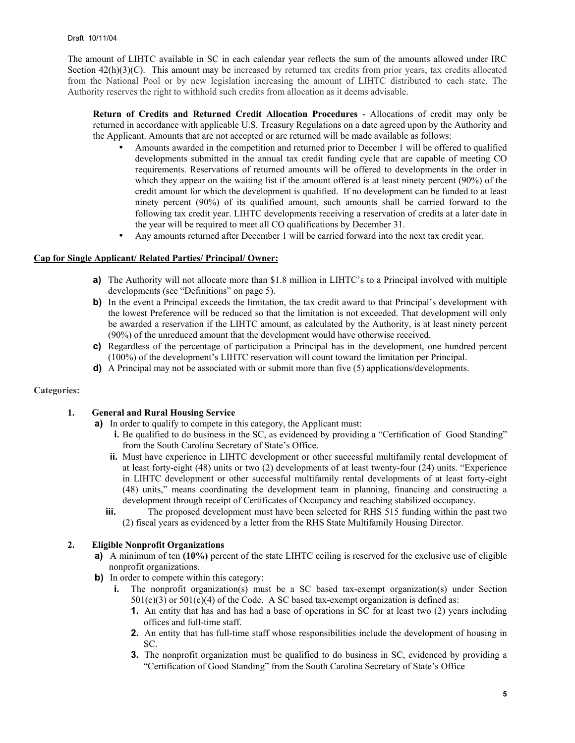The amount of LIHTC available in SC in each calendar year reflects the sum of the amounts allowed under IRC Section  $42(h)(3)(C)$ . This amount may be increased by returned tax credits from prior years, tax credits allocated from the National Pool or by new legislation increasing the amount of LIHTC distributed to each state. The Authority reserves the right to withhold such credits from allocation as it deems advisable.

**Return of Credits and Returned Credit Allocation Procedures** - Allocations of credit may only be returned in accordance with applicable U.S. Treasury Regulations on a date agreed upon by the Authority and the Applicant. Amounts that are not accepted or are returned will be made available as follows:

- Amounts awarded in the competition and returned prior to December 1 will be offered to qualified developments submitted in the annual tax credit funding cycle that are capable of meeting CO requirements. Reservations of returned amounts will be offered to developments in the order in which they appear on the waiting list if the amount offered is at least ninety percent (90%) of the credit amount for which the development is qualified. If no development can be funded to at least ninety percent (90%) of its qualified amount, such amounts shall be carried forward to the following tax credit year. LIHTC developments receiving a reservation of credits at a later date in the year will be required to meet all CO qualifications by December 31.
- Any amounts returned after December 1 will be carried forward into the next tax credit year.

### **Cap for Single Applicant/ Related Parties/ Principal/ Owner:**

- **a)** The Authority will not allocate more than \$1.8 million in LIHTC's to a Principal involved with multiple developments (see "Definitions" on page 5).
- **b)** In the event a Principal exceeds the limitation, the tax credit award to that Principal's development with the lowest Preference will be reduced so that the limitation is not exceeded. That development will only be awarded a reservation if the LIHTC amount, as calculated by the Authority, is at least ninety percent (90%) of the unreduced amount that the development would have otherwise received.
- **c)** Regardless of the percentage of participation a Principal has in the development, one hundred percent (100%) of the development's LIHTC reservation will count toward the limitation per Principal.
- **d)** A Principal may not be associated with or submit more than five (5) applications/developments.

### **Categories:**

### **1. General and Rural Housing Service**

- **a)** In order to qualify to compete in this category, the Applicant must:
	- **i.** Be qualified to do business in the SC, as evidenced by providing a "Certification of Good Standing" from the South Carolina Secretary of State's Office.
	- **ii.** Must have experience in LIHTC development or other successful multifamily rental development of at least forty-eight (48) units or two (2) developments of at least twenty-four (24) units. "Experience in LIHTC development or other successful multifamily rental developments of at least forty-eight (48) units," means coordinating the development team in planning, financing and constructing a development through receipt of Certificates of Occupancy and reaching stabilized occupancy.
	- **iii.** The proposed development must have been selected for RHS 515 funding within the past two (2) fiscal years as evidenced by a letter from the RHS State Multifamily Housing Director.

### **2. Eligible Nonprofit Organizations**

- **a)** A minimum of ten (10%) percent of the state LIHTC ceiling is reserved for the exclusive use of eligible nonprofit organizations.
- **b)** In order to compete within this category:
	- **i.** The nonprofit organization(s) must be a SC based tax-exempt organization(s) under Section  $501(c)(3)$  or  $501(c)(4)$  of the Code. A SC based tax-exempt organization is defined as:
		- **1.** An entity that has and has had a base of operations in SC for at least two (2) years including offices and full-time staff.
		- **2.** An entity that has full-time staff whose responsibilities include the development of housing in SC.
		- **3.** The nonprofit organization must be qualified to do business in SC, evidenced by providing a "Certification of Good Standing" from the South Carolina Secretary of State's Office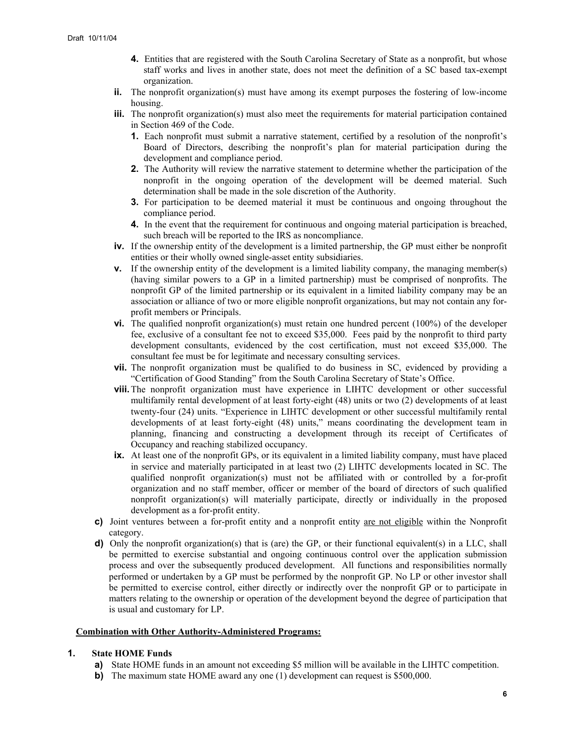- **4.** Entities that are registered with the South Carolina Secretary of State as a nonprofit, but whose staff works and lives in another state, does not meet the definition of a SC based tax-exempt organization.
- **ii.** The nonprofit organization(s) must have among its exempt purposes the fostering of low-income housing.
- **iii.** The nonprofit organization(s) must also meet the requirements for material participation contained in Section 469 of the Code.
	- **1.** Each nonprofit must submit a narrative statement, certified by a resolution of the nonprofit's Board of Directors, describing the nonprofit's plan for material participation during the development and compliance period.
	- **2.** The Authority will review the narrative statement to determine whether the participation of the nonprofit in the ongoing operation of the development will be deemed material. Such determination shall be made in the sole discretion of the Authority.
	- **3.** For participation to be deemed material it must be continuous and ongoing throughout the compliance period.
	- **4.** In the event that the requirement for continuous and ongoing material participation is breached, such breach will be reported to the IRS as noncompliance.
- **iv.** If the ownership entity of the development is a limited partnership, the GP must either be nonprofit entities or their wholly owned single-asset entity subsidiaries.
- **v.** If the ownership entity of the development is a limited liability company, the managing member(s) (having similar powers to a GP in a limited partnership) must be comprised of nonprofits. The nonprofit GP of the limited partnership or its equivalent in a limited liability company may be an association or alliance of two or more eligible nonprofit organizations, but may not contain any forprofit members or Principals.
- **vi.** The qualified nonprofit organization(s) must retain one hundred percent (100%) of the developer fee, exclusive of a consultant fee not to exceed \$35,000. Fees paid by the nonprofit to third party development consultants, evidenced by the cost certification, must not exceed \$35,000. The consultant fee must be for legitimate and necessary consulting services.
- **vii.** The nonprofit organization must be qualified to do business in SC, evidenced by providing a "Certification of Good Standing" from the South Carolina Secretary of State's Office.
- **viii.** The nonprofit organization must have experience in LIHTC development or other successful multifamily rental development of at least forty-eight (48) units or two (2) developments of at least twenty-four (24) units. "Experience in LIHTC development or other successful multifamily rental developments of at least forty-eight (48) units," means coordinating the development team in planning, financing and constructing a development through its receipt of Certificates of Occupancy and reaching stabilized occupancy.
- **ix.** At least one of the nonprofit GPs, or its equivalent in a limited liability company, must have placed in service and materially participated in at least two (2) LIHTC developments located in SC. The qualified nonprofit organization(s) must not be affiliated with or controlled by a for-profit organization and no staff member, officer or member of the board of directors of such qualified nonprofit organization(s) will materially participate, directly or individually in the proposed development as a for-profit entity.
- **c)** Joint ventures between a for-profit entity and a nonprofit entity are not eligible within the Nonprofit category.
- **d**) Only the nonprofit organization(s) that is (are) the GP, or their functional equivalent(s) in a LLC, shall be permitted to exercise substantial and ongoing continuous control over the application submission process and over the subsequently produced development. All functions and responsibilities normally performed or undertaken by a GP must be performed by the nonprofit GP. No LP or other investor shall be permitted to exercise control, either directly or indirectly over the nonprofit GP or to participate in matters relating to the ownership or operation of the development beyond the degree of participation that is usual and customary for LP.

#### **Combination with Other Authority-Administered Programs:**

### **1. State HOME Funds**

- **a)** State HOME funds in an amount not exceeding \$5 million will be available in the LIHTC competition.
- **b)** The maximum state HOME award any one (1) development can request is \$500,000.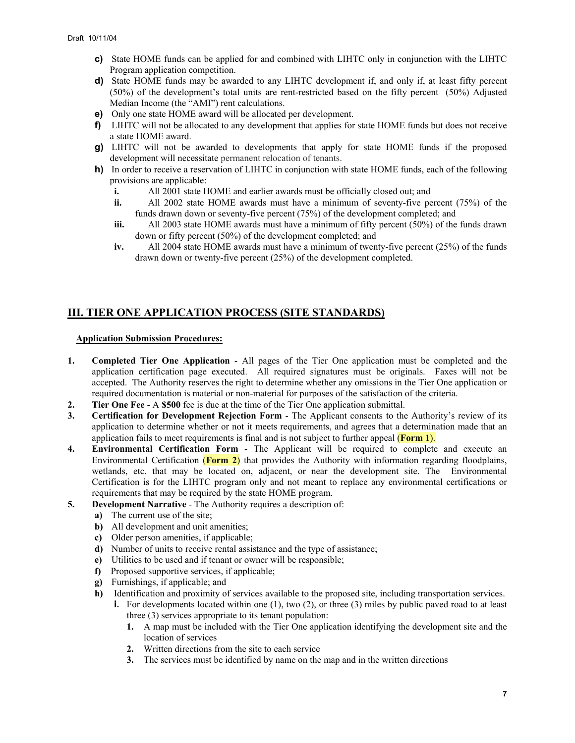- **c)** State HOME funds can be applied for and combined with LIHTC only in conjunction with the LIHTC Program application competition.
- **d**) State HOME funds may be awarded to any LIHTC development if, and only if, at least fifty percent (50%) of the development's total units are rent-restricted based on the fifty percent (50%) Adjusted Median Income (the "AMI") rent calculations.
- **e)** Only one state HOME award will be allocated per development.
- **f)** LIHTC will not be allocated to any development that applies for state HOME funds but does not receive a state HOME award.
- **g)** LIHTC will not be awarded to developments that apply for state HOME funds if the proposed development will necessitate permanent relocation of tenants.
- **h)** In order to receive a reservation of LIHTC in conjunction with state HOME funds, each of the following provisions are applicable:
	- **i.** All 2001 state HOME and earlier awards must be officially closed out; and
	- **ii.** All 2002 state HOME awards must have a minimum of seventy-five percent (75%) of the funds drawn down or seventy-five percent (75%) of the development completed; and
	- **iii.** All 2003 state HOME awards must have a minimum of fifty percent (50%) of the funds drawn down or fifty percent (50%) of the development completed; and
	- **iv.** All 2004 state HOME awards must have a minimum of twenty-five percent (25%) of the funds drawn down or twenty-five percent (25%) of the development completed.

# **III. TIER ONE APPLICATION PROCESS (SITE STANDARDS)**

### **Application Submission Procedures:**

- **1. Completed Tier One Application** All pages of the Tier One application must be completed and the application certification page executed. All required signatures must be originals. Faxes will not be accepted. The Authority reserves the right to determine whether any omissions in the Tier One application or required documentation is material or non-material for purposes of the satisfaction of the criteria.
- **2. Tier One Fee** A **\$500** fee is due at the time of the Tier One application submittal.
- **3. Certification for Development Rejection Form** The Applicant consents to the Authority's review of its application to determine whether or not it meets requirements, and agrees that a determination made that an application fails to meet requirements is final and is not subject to further appeal (**Form 1**).
- **4. Environmental Certification Form**  The Applicant will be required to complete and execute an Environmental Certification (**Form 2**) that provides the Authority with information regarding floodplains, wetlands, etc. that may be located on, adjacent, or near the development site. The Environmental Certification is for the LIHTC program only and not meant to replace any environmental certifications or requirements that may be required by the state HOME program.
- **5.** Development Narrative The Authority requires a description of:
	- **a)** The current use of the site;
	- **b)** All development and unit amenities;
	- **c)** Older person amenities, if applicable;
	- **d)** Number of units to receive rental assistance and the type of assistance;
	- **e)** Utilities to be used and if tenant or owner will be responsible;
	- **f)** Proposed supportive services, if applicable;
	- **g)** Furnishings, if applicable; and
	- **h)** Identification and proximity of services available to the proposed site, including transportation services.
		- **i.** For developments located within one (1), two (2), or three (3) miles by public paved road to at least three (3) services appropriate to its tenant population:
			- **1.** A map must be included with the Tier One application identifying the development site and the location of services
			- **2.** Written directions from the site to each service
			- **3.** The services must be identified by name on the map and in the written directions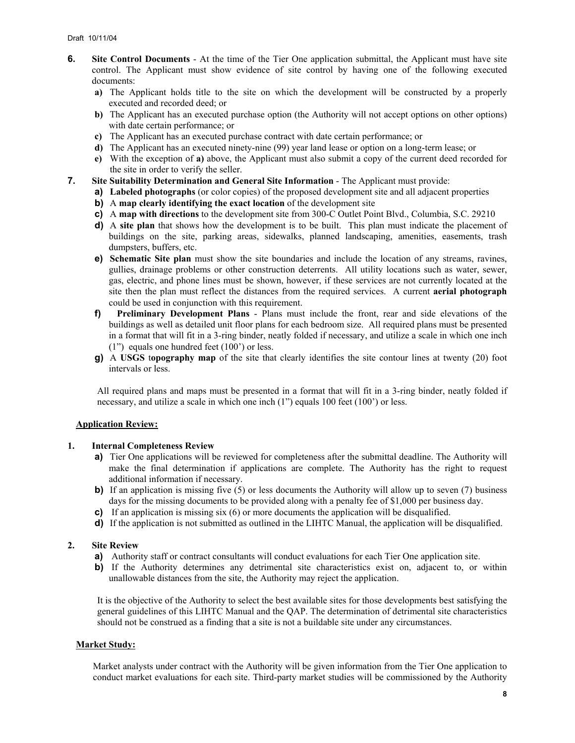- **6. Site Control Documents** At the time of the Tier One application submittal, the Applicant must have site control. The Applicant must show evidence of site control by having one of the following executed documents:
	- **a)** The Applicant holds title to the site on which the development will be constructed by a properly executed and recorded deed; or
	- **b)** The Applicant has an executed purchase option (the Authority will not accept options on other options) with date certain performance; or
	- **c)** The Applicant has an executed purchase contract with date certain performance; or
	- **d)** The Applicant has an executed ninety-nine (99) year land lease or option on a long-term lease; or
	- **e)** With the exception of **a)** above, the Applicant must also submit a copy of the current deed recorded for the site in order to verify the seller.
- **7. Site Suitability Determination and General Site Information** The Applicant must provide:
	- **a) Labeled photographs** (or color copies) of the proposed development site and all adjacent properties
	- **b)** A **map clearly identifying the exact location** of the development site
	- **c)** A **map with directions** to the development site from 300-C Outlet Point Blvd., Columbia, S.C. 29210
	- **d)** A **site plan** that shows how the development is to be built. This plan must indicate the placement of buildings on the site, parking areas, sidewalks, planned landscaping, amenities, easements, trash dumpsters, buffers, etc.
	- **e) Schematic Site plan** must show the site boundaries and include the location of any streams, ravines, gullies, drainage problems or other construction deterrents. All utility locations such as water, sewer, gas, electric, and phone lines must be shown, however, if these services are not currently located at the site then the plan must reflect the distances from the required services. A current **aerial photograph** could be used in conjunction with this requirement.
	- **f) Preliminary Development Plans** Plans must include the front, rear and side elevations of the buildings as well as detailed unit floor plans for each bedroom size. All required plans must be presented in a format that will fit in a 3-ring binder, neatly folded if necessary, and utilize a scale in which one inch (1") equals one hundred feet (100') or less.
	- **g)** A **USGS** t**opography map** of the site that clearly identifies the site contour lines at twenty (20) foot intervals or less.

All required plans and maps must be presented in a format that will fit in a 3-ring binder, neatly folded if necessary, and utilize a scale in which one inch (1") equals 100 feet (100') or less.

### **Application Review:**

#### **1. Internal Completeness Review**

- **a)** Tier One applications will be reviewed for completeness after the submittal deadline. The Authority will make the final determination if applications are complete. The Authority has the right to request additional information if necessary.
- **b)** If an application is missing five (5) or less documents the Authority will allow up to seven (7) business days for the missing documents to be provided along with a penalty fee of \$1,000 per business day.
- **c)** If an application is missing six (6) or more documents the application will be disqualified.
- **d)** If the application is not submitted as outlined in the LIHTC Manual, the application will be disqualified.

#### **2. Site Review**

- **a)** Authority staff or contract consultants will conduct evaluations for each Tier One application site.
- **b)** If the Authority determines any detrimental site characteristics exist on, adjacent to, or within unallowable distances from the site, the Authority may reject the application.

It is the objective of the Authority to select the best available sites for those developments best satisfying the general guidelines of this LIHTC Manual and the QAP. The determination of detrimental site characteristics should not be construed as a finding that a site is not a buildable site under any circumstances.

### **Market Study:**

Market analysts under contract with the Authority will be given information from the Tier One application to conduct market evaluations for each site. Third-party market studies will be commissioned by the Authority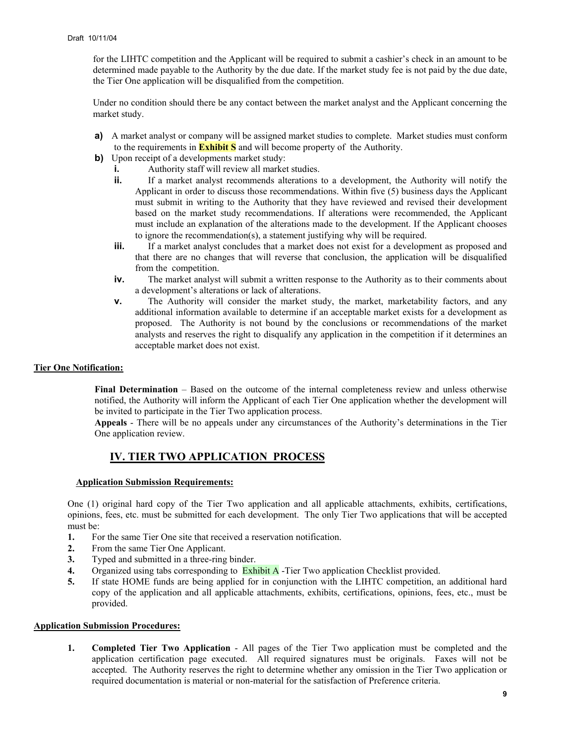for the LIHTC competition and the Applicant will be required to submit a cashier's check in an amount to be determined made payable to the Authority by the due date. If the market study fee is not paid by the due date, the Tier One application will be disqualified from the competition.

Under no condition should there be any contact between the market analyst and the Applicant concerning the market study.

- **a)** A market analyst or company will be assigned market studies to complete. Market studies must conform to the requirements in **Exhibit S** and will become property of the Authority.
- **b)** Upon receipt of a developments market study:
	- **i.** Authority staff will review all market studies.
	- **ii.** If a market analyst recommends alterations to a development, the Authority will notify the Applicant in order to discuss those recommendations. Within five (5) business days the Applicant must submit in writing to the Authority that they have reviewed and revised their development based on the market study recommendations. If alterations were recommended, the Applicant must include an explanation of the alterations made to the development. If the Applicant chooses to ignore the recommendation(s), a statement justifying why will be required.
	- **iii.** If a market analyst concludes that a market does not exist for a development as proposed and that there are no changes that will reverse that conclusion, the application will be disqualified from the competition.
	- **iv.** The market analyst will submit a written response to the Authority as to their comments about a development's alterations or lack of alterations.
	- **v.** The Authority will consider the market study, the market, marketability factors, and any additional information available to determine if an acceptable market exists for a development as proposed. The Authority is not bound by the conclusions or recommendations of the market analysts and reserves the right to disqualify any application in the competition if it determines an acceptable market does not exist.

### **Tier One Notification:**

**Final Determination** – Based on the outcome of the internal completeness review and unless otherwise notified, the Authority will inform the Applicant of each Tier One application whether the development will be invited to participate in the Tier Two application process.

**Appeals** - There will be no appeals under any circumstances of the Authority's determinations in the Tier One application review.

# **IV. TIER TWO APPLICATION PROCESS**

#### **Application Submission Requirements:**

One (1) original hard copy of the Tier Two application and all applicable attachments, exhibits, certifications, opinions, fees, etc. must be submitted for each development. The only Tier Two applications that will be accepted must be:

- **1.** For the same Tier One site that received a reservation notification.
- **2.** From the same Tier One Applicant.
- **3.** Typed and submitted in a three-ring binder.
- **4.** Organized using tabs corresponding to Exhibit A -Tier Two application Checklist provided.
- **5.** If state HOME funds are being applied for in conjunction with the LIHTC competition, an additional hard copy of the application and all applicable attachments, exhibits, certifications, opinions, fees, etc., must be provided.

#### **Application Submission Procedures:**

**1. Completed Tier Two Application** - All pages of the Tier Two application must be completed and the application certification page executed. All required signatures must be originals. Faxes will not be accepted. The Authority reserves the right to determine whether any omission in the Tier Two application or required documentation is material or non-material for the satisfaction of Preference criteria.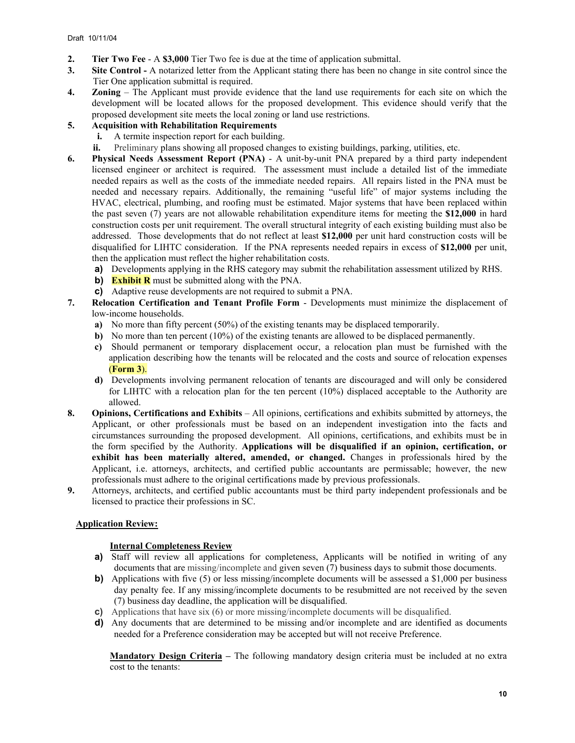- **2. Tier Two Fee** A **\$3,000** Tier Two fee is due at the time of application submittal.
- **3. Site Control -** A notarized letter from the Applicant stating there has been no change in site control since the Tier One application submittal is required.
- **4. Zoning**  The Applicant must provide evidence that the land use requirements for each site on which the development will be located allows for the proposed development. This evidence should verify that the proposed development site meets the local zoning or land use restrictions.
- **5. Acquisition with Rehabilitation Requirements**
	- **i.** A termite inspection report for each building.
	- **ii.** Preliminary plans showing all proposed changes to existing buildings, parking, utilities, etc.
- **6. Physical Needs Assessment Report (PNA)** A unit-by-unit PNA prepared by a third party independent licensed engineer or architect is required. The assessment must include a detailed list of the immediate needed repairs as well as the costs of the immediate needed repairs. All repairs listed in the PNA must be needed and necessary repairs. Additionally, the remaining "useful life" of major systems including the HVAC, electrical, plumbing, and roofing must be estimated. Major systems that have been replaced within the past seven (7) years are not allowable rehabilitation expenditure items for meeting the **\$12,000** in hard construction costs per unit requirement. The overall structural integrity of each existing building must also be addressed. Those developments that do not reflect at least **\$12,000** per unit hard construction costs will be disqualified for LIHTC consideration. If the PNA represents needed repairs in excess of **\$12,000** per unit, then the application must reflect the higher rehabilitation costs.
	- **a)** Developments applying in the RHS category may submit the rehabilitation assessment utilized by RHS.
	- **b) Exhibit R** must be submitted along with the PNA.
	- **c)** Adaptive reuse developments are not required to submit a PNA.
- **7. Relocation Certification and Tenant Profile Form** Developments must minimize the displacement of low-income households.
	- **a)** No more than fifty percent (50%) of the existing tenants may be displaced temporarily.
	- **b)** No more than ten percent (10%) of the existing tenants are allowed to be displaced permanently.
	- **c)** Should permanent or temporary displacement occur, a relocation plan must be furnished with the application describing how the tenants will be relocated and the costs and source of relocation expenses (**Form 3**).
	- **d)** Developments involving permanent relocation of tenants are discouraged and will only be considered for LIHTC with a relocation plan for the ten percent (10%) displaced acceptable to the Authority are allowed.
- **8. Opinions, Certifications and Exhibits** All opinions, certifications and exhibits submitted by attorneys, the Applicant, or other professionals must be based on an independent investigation into the facts and circumstances surrounding the proposed development. All opinions, certifications, and exhibits must be in the form specified by the Authority. **Applications will be disqualified if an opinion, certification, or exhibit has been materially altered, amended, or changed.** Changes in professionals hired by the Applicant, i.e. attorneys, architects, and certified public accountants are permissable; however, the new professionals must adhere to the original certifications made by previous professionals.
- **9.** Attorneys, architects, and certified public accountants must be third party independent professionals and be licensed to practice their professions in SC.

### **Application Review:**

### **Internal Completeness Review**

- **a)** Staff will review all applications for completeness, Applicants will be notified in writing of any documents that are missing/incomplete and given seven (7) business days to submit those documents.
- **b)** Applications with five (5) or less missing/incomplete documents will be assessed a \$1,000 per business day penalty fee. If any missing/incomplete documents to be resubmitted are not received by the seven (7) business day deadline, the application will be disqualified.
- **c)** Applications that have six (6) or more missing/incomplete documents will be disqualified.
- **d)** Any documents that are determined to be missing and/or incomplete and are identified as documents needed for a Preference consideration may be accepted but will not receive Preference.

**Mandatory Design Criteria – The following mandatory design criteria must be included at no extra** cost to the tenants: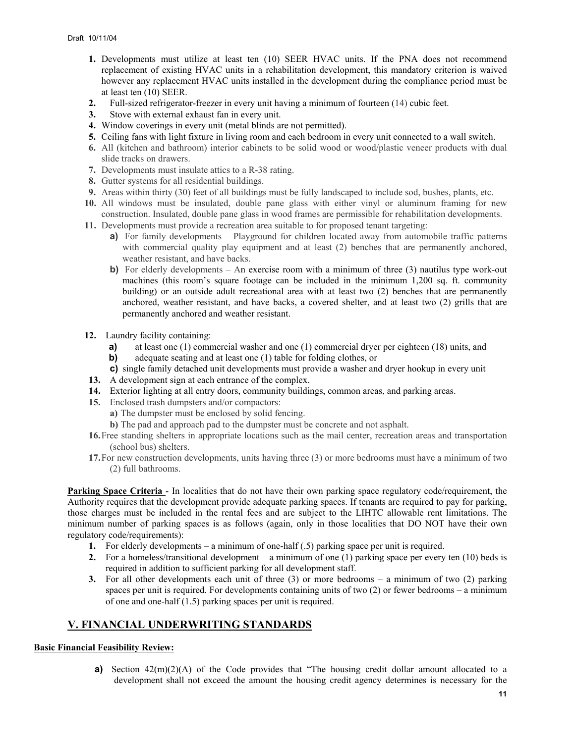- **1.** Developments must utilize at least ten (10) SEER HVAC units. If the PNA does not recommend replacement of existing HVAC units in a rehabilitation development, this mandatory criterion is waived however any replacement HVAC units installed in the development during the compliance period must be at least ten (10) SEER.
- **2.** Full-sized refrigerator-freezer in every unit having a minimum of fourteen (14) cubic feet.
- **3.** Stove with external exhaust fan in every unit.
- **4.** Window coverings in every unit (metal blinds are not permitted).
- **5.** Ceiling fans with light fixture in living room and each bedroom in every unit connected to a wall switch.
- **6.** All (kitchen and bathroom) interior cabinets to be solid wood or wood/plastic veneer products with dual slide tracks on drawers.
- **7.** Developments must insulate attics to a R-38 rating.
- **8.** Gutter systems for all residential buildings.
- **9.** Areas within thirty (30) feet of all buildings must be fully landscaped to include sod, bushes, plants, etc.
- **10.** All windows must be insulated, double pane glass with either vinyl or aluminum framing for new construction. Insulated, double pane glass in wood frames are permissible for rehabilitation developments.
- **11.** Developments must provide a recreation area suitable to for proposed tenant targeting:
	- **a)** For family developments Playground for children located away from automobile traffic patterns with commercial quality play equipment and at least (2) benches that are permanently anchored, weather resistant, and have backs.
	- **b**) For elderly developments An exercise room with a minimum of three (3) nautilus type work-out machines (this room's square footage can be included in the minimum 1,200 sq. ft. community building) or an outside adult recreational area with at least two (2) benches that are permanently anchored, weather resistant, and have backs, a covered shelter, and at least two (2) grills that are permanently anchored and weather resistant.
- **12.** Laundry facility containing:
	- **a)** at least one (1) commercial washer and one (1) commercial dryer per eighteen (18) units, and
	- **b)** adequate seating and at least one (1) table for folding clothes, or
	- **c)** single family detached unit developments must provide a washer and dryer hookup in every unit
- **13.** A development sign at each entrance of the complex.
- **14.** Exterior lighting at all entry doors, community buildings, common areas, and parking areas.
- **15.** Enclosed trash dumpsters and/or compactors:
	- **a)** The dumpster must be enclosed by solid fencing.
	- **b)** The pad and approach pad to the dumpster must be concrete and not asphalt.
- **16.** Free standing shelters in appropriate locations such as the mail center, recreation areas and transportation (school bus) shelters.
- **17.** For new construction developments, units having three (3) or more bedrooms must have a minimum of two (2) full bathrooms.

**Parking Space Criteria** - In localities that do not have their own parking space regulatory code/requirement, the Authority requires that the development provide adequate parking spaces. If tenants are required to pay for parking, those charges must be included in the rental fees and are subject to the LIHTC allowable rent limitations. The minimum number of parking spaces is as follows (again, only in those localities that DO NOT have their own regulatory code/requirements):

- **1.** For elderly developments a minimum of one-half (.5) parking space per unit is required.
- **2.** For a homeless/transitional development a minimum of one (1) parking space per every ten (10) beds is required in addition to sufficient parking for all development staff.
- **3.** For all other developments each unit of three (3) or more bedrooms a minimum of two (2) parking spaces per unit is required. For developments containing units of two (2) or fewer bedrooms – a minimum of one and one-half (1.5) parking spaces per unit is required.

### **V. FINANCIAL UNDERWRITING STANDARDS**

### **Basic Financial Feasibility Review:**

**a)** Section  $42(m)(2)(A)$  of the Code provides that "The housing credit dollar amount allocated to a development shall not exceed the amount the housing credit agency determines is necessary for the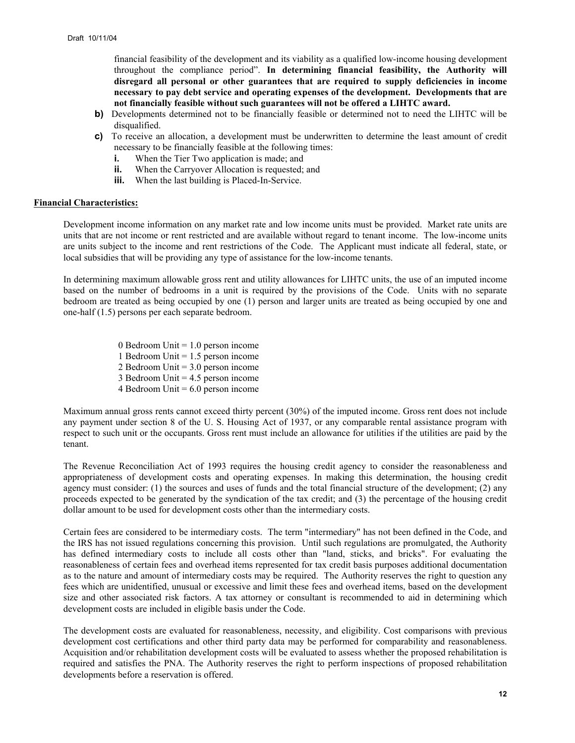financial feasibility of the development and its viability as a qualified low-income housing development throughout the compliance period". **In determining financial feasibility, the Authority will disregard all personal or other guarantees that are required to supply deficiencies in income necessary to pay debt service and operating expenses of the development. Developments that are not financially feasible without such guarantees will not be offered a LIHTC award.** 

- **b)** Developments determined not to be financially feasible or determined not to need the LIHTC will be disqualified.
- **c)** To receive an allocation, a development must be underwritten to determine the least amount of credit necessary to be financially feasible at the following times:
	- **i.** When the Tier Two application is made; and
	- **ii.** When the Carryover Allocation is requested; and
	- **iii.** When the last building is Placed-In-Service.

#### **Financial Characteristics:**

Development income information on any market rate and low income units must be provided. Market rate units are units that are not income or rent restricted and are available without regard to tenant income. The low-income units are units subject to the income and rent restrictions of the Code. The Applicant must indicate all federal, state, or local subsidies that will be providing any type of assistance for the low-income tenants.

In determining maximum allowable gross rent and utility allowances for LIHTC units, the use of an imputed income based on the number of bedrooms in a unit is required by the provisions of the Code. Units with no separate bedroom are treated as being occupied by one (1) person and larger units are treated as being occupied by one and one-half (1.5) persons per each separate bedroom.

> 0 Bedroom Unit = 1.0 person income 1 Bedroom Unit = 1.5 person income 2 Bedroom Unit = 3.0 person income 3 Bedroom Unit = 4.5 person income 4 Bedroom Unit  $= 6.0$  person income

Maximum annual gross rents cannot exceed thirty percent (30%) of the imputed income. Gross rent does not include any payment under section 8 of the U. S. Housing Act of 1937, or any comparable rental assistance program with respect to such unit or the occupants. Gross rent must include an allowance for utilities if the utilities are paid by the tenant.

The Revenue Reconciliation Act of 1993 requires the housing credit agency to consider the reasonableness and appropriateness of development costs and operating expenses. In making this determination, the housing credit agency must consider: (1) the sources and uses of funds and the total financial structure of the development; (2) any proceeds expected to be generated by the syndication of the tax credit; and (3) the percentage of the housing credit dollar amount to be used for development costs other than the intermediary costs.

Certain fees are considered to be intermediary costs. The term "intermediary" has not been defined in the Code, and the IRS has not issued regulations concerning this provision. Until such regulations are promulgated, the Authority has defined intermediary costs to include all costs other than "land, sticks, and bricks". For evaluating the reasonableness of certain fees and overhead items represented for tax credit basis purposes additional documentation as to the nature and amount of intermediary costs may be required. The Authority reserves the right to question any fees which are unidentified, unusual or excessive and limit these fees and overhead items, based on the development size and other associated risk factors. A tax attorney or consultant is recommended to aid in determining which development costs are included in eligible basis under the Code.

The development costs are evaluated for reasonableness, necessity, and eligibility. Cost comparisons with previous development cost certifications and other third party data may be performed for comparability and reasonableness. Acquisition and/or rehabilitation development costs will be evaluated to assess whether the proposed rehabilitation is required and satisfies the PNA. The Authority reserves the right to perform inspections of proposed rehabilitation developments before a reservation is offered.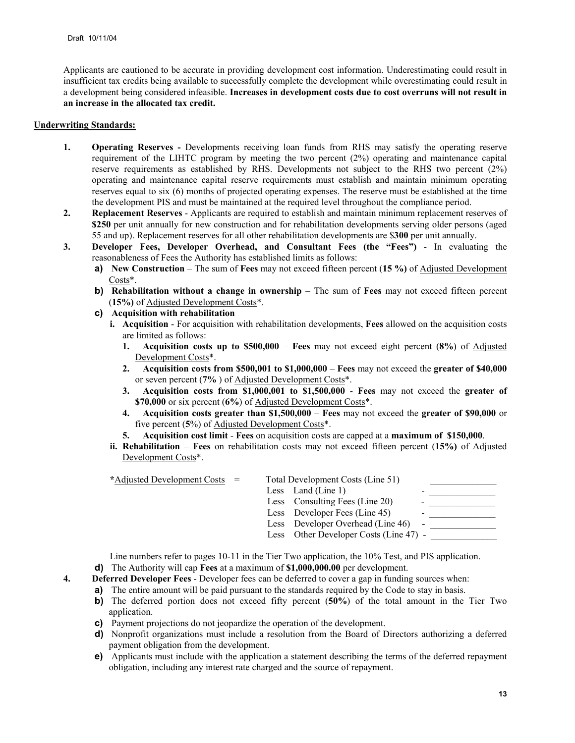Applicants are cautioned to be accurate in providing development cost information. Underestimating could result in insufficient tax credits being available to successfully complete the development while overestimating could result in a development being considered infeasible. **Increases in development costs due to cost overruns will not result in an increase in the allocated tax credit.** 

### **Underwriting Standards:**

- **1. Operating Reserves** Developments receiving loan funds from RHS may satisfy the operating reserve requirement of the LIHTC program by meeting the two percent (2%) operating and maintenance capital reserve requirements as established by RHS. Developments not subject to the RHS two percent (2%) operating and maintenance capital reserve requirements must establish and maintain minimum operating reserves equal to six (6) months of projected operating expenses. The reserve must be established at the time the development PIS and must be maintained at the required level throughout the compliance period.
- **2. Replacement Reserves** Applicants are required to establish and maintain minimum replacement reserves of **\$250** per unit annually for new construction and for rehabilitation developments serving older persons (aged 55 and up). Replacement reserves for all other rehabilitation developments are \$**300** per unit annually.
- **3. Developer Fees, Developer Overhead, and Consultant Fees (the "Fees")**  In evaluating the reasonableness of Fees the Authority has established limits as follows:
	- **a) New Construction** The sum of **Fees** may not exceed fifteen percent (**15 %)** of Adjusted Development Costs\*.
	- **b) Rehabilitation without a change in ownership** The sum of **Fees** may not exceed fifteen percent (**15%)** of Adjusted Development Costs\*.
	- **c) Acquisition with rehabilitation** 
		- **i. Acquisition** For acquisition with rehabilitation developments, **Fees** allowed on the acquisition costs are limited as follows:
			- **1. Acquisition costs up to \$500,000 Fees** may not exceed eight percent (**8%**) of Adjusted Development Costs\*.
			- **2. Acquisition costs from \$500,001 to \$1,000,000** – **Fees** may not exceed the **greater of \$40,000** or seven percent (**7%** ) of Adjusted Development Costs\*.
			- **3. Acquisition costs from \$1,000,001 to \$1,500,000 Fees** may not exceed the **greater of \$70,000** or six percent (**6%**) of Adjusted Development Costs\*.
			- **4. Acquisition costs greater than \$1,500,000 Fees** may not exceed the **greater of \$90,000** or five percent (**5**%) of Adjusted Development Costs\*.
			- **5. Acquisition cost limit Fees** on acquisition costs are capped at a **maximum of \$150,000**.
		- **ii. Rehabilitation Fees** on rehabilitation costs may not exceed fifteen percent (**15%)** of Adjusted Development Costs\*.

| *Adjusted Development Costs = |  |                                                                                                                                                                 |                                        |
|-------------------------------|--|-----------------------------------------------------------------------------------------------------------------------------------------------------------------|----------------------------------------|
|                               |  | -                                                                                                                                                               |                                        |
|                               |  | $\,$                                                                                                                                                            |                                        |
|                               |  | $\overline{\phantom{a}}$                                                                                                                                        |                                        |
|                               |  | $\overline{\phantom{a}}$                                                                                                                                        |                                        |
|                               |  |                                                                                                                                                                 |                                        |
|                               |  | Total Development Costs (Line 51)<br>Less Land (Line 1)<br>Less Consulting Fees (Line 20)<br>Less Developer Fees (Line 45)<br>Less Developer Overhead (Line 46) | Less Other Developer Costs (Line 47) - |

Line numbers refer to pages 10-11 in the Tier Two application, the 10% Test, and PIS application.

- **d)** The Authority will cap **Fees** at a maximum of **\$1,000,000.00** per development.
- **4. Deferred Developer Fees** Developer fees can be deferred to cover a gap in funding sources when:
	- **a)** The entire amount will be paid pursuant to the standards required by the Code to stay in basis.
	- **b)** The deferred portion does not exceed fifty percent (**50%**) of the total amount in the Tier Two application.
	- **c)** Payment projections do not jeopardize the operation of the development.
	- **d)** Nonprofit organizations must include a resolution from the Board of Directors authorizing a deferred payment obligation from the development.
	- **e)** Applicants must include with the application a statement describing the terms of the deferred repayment obligation, including any interest rate charged and the source of repayment.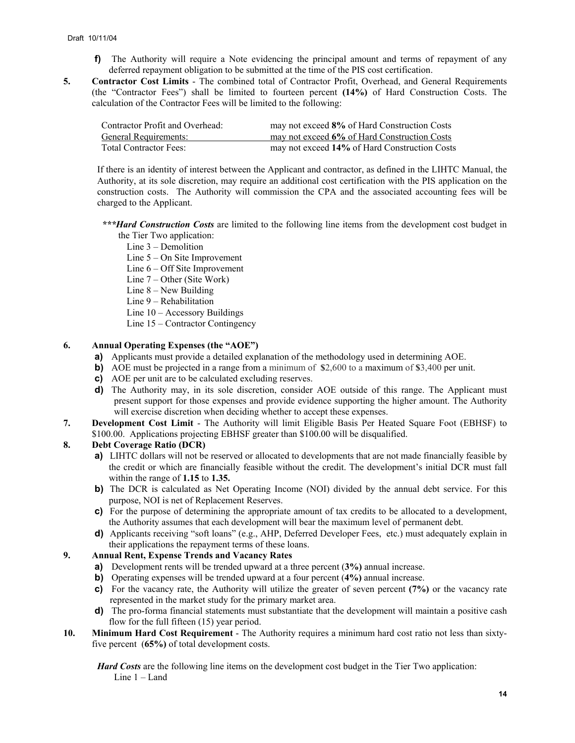- **f)** The Authority will require a Note evidencing the principal amount and terms of repayment of any deferred repayment obligation to be submitted at the time of the PIS cost certification.
- **5. Contractor Cost Limits** The combined total of Contractor Profit, Overhead, and General Requirements (the "Contractor Fees") shall be limited to fourteen percent **(14%)** of Hard Construction Costs. The calculation of the Contractor Fees will be limited to the following:

| Contractor Profit and Overhead: | may not exceed 8% of Hard Construction Costs  |
|---------------------------------|-----------------------------------------------|
| General Requirements:           | may not exceed 6% of Hard Construction Costs  |
| <b>Total Contractor Fees:</b>   | may not exceed 14% of Hard Construction Costs |

If there is an identity of interest between the Applicant and contractor, as defined in the LIHTC Manual, the Authority, at its sole discretion, may require an additional cost certification with the PIS application on the construction costs. The Authority will commission the CPA and the associated accounting fees will be charged to the Applicant.

- *\*\*\*Hard Construction Costs* are limited to the following line items from the development cost budget in the Tier Two application:
	- Line 3 Demolition
	- Line 5 On Site Improvement
	- Line 6 Off Site Improvement
	- Line 7 Other (Site Work)
	- Line 8 New Building
	- Line 9 Rehabilitation
	- Line 10 Accessory Buildings
	- Line 15 Contractor Contingency

### **6. Annual Operating Expenses (the "AOE")**

- **a)** Applicants must provide a detailed explanation of the methodology used in determining AOE.
- **b)** AOE must be projected in a range from a minimum of **\$**2,600 to a maximum of **\$**3,400 per unit.
- **c)** AOE per unit are to be calculated excluding reserves.
- **d)** The Authority may, in its sole discretion, consider AOE outside of this range. The Applicant must present support for those expenses and provide evidence supporting the higher amount. The Authority will exercise discretion when deciding whether to accept these expenses.
- **7. Development Cost Limit** The Authority will limit Eligible Basis Per Heated Square Foot (EBHSF) to \$100.00. Applications projecting EBHSF greater than \$100.00 will be disqualified.

### **8. Debt Coverage Ratio (DCR)**

- **a)** LIHTC dollars will not be reserved or allocated to developments that are not made financially feasible by the credit or which are financially feasible without the credit. The development's initial DCR must fall within the range of **1.15** to **1.35.**
- **b)** The DCR is calculated as Net Operating Income (NOI) divided by the annual debt service. For this purpose, NOI is net of Replacement Reserves.
- **c)** For the purpose of determining the appropriate amount of tax credits to be allocated to a development, the Authority assumes that each development will bear the maximum level of permanent debt.
- **d)** Applicants receiving "soft loans" (e.g., AHP, Deferred Developer Fees, etc.) must adequately explain in their applications the repayment terms of these loans.

### **9. Annual Rent, Expense Trends and Vacancy Rates**

- **a)** Development rents will be trended upward at a three percent (**3%)** annual increase.
- **b)** Operating expenses will be trended upward at a four percent (**4%)** annual increase.
- **c)** For the vacancy rate, the Authority will utilize the greater of seven percent **(7%)** or the vacancy rate represented in the market study for the primary market area.
- **d**) The pro-forma financial statements must substantiate that the development will maintain a positive cash flow for the full fifteen (15) year period.
- **10. Minimum Hard Cost Requirement**  The Authority requires a minimum hard cost ratio not less than sixtyfive percent (**65%)** of total development costs.

*Hard Costs* are the following line items on the development cost budget in the Tier Two application: Line 1 – Land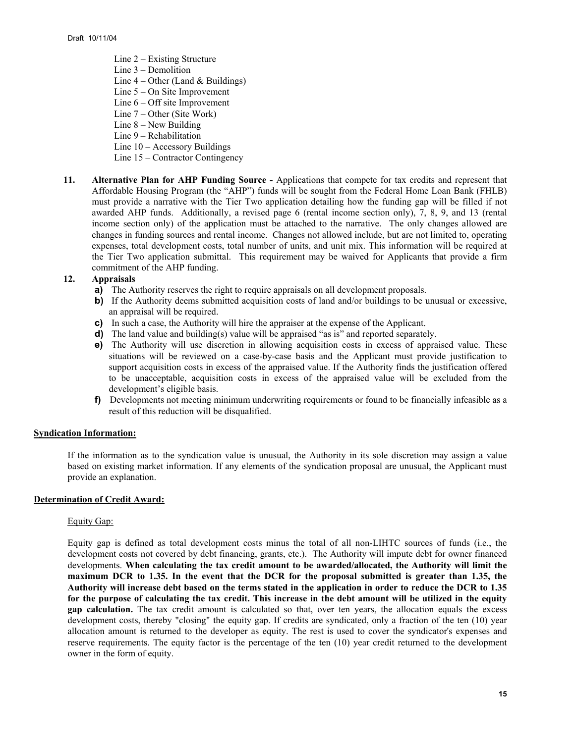Line 2 – Existing Structure Line 3 – Demolition Line  $4 -$ Other (Land & Buildings) Line 5 – On Site Improvement Line 6 – Off site Improvement Line 7 – Other (Site Work) Line 8 – New Building Line 9 – Rehabilitation Line 10 – Accessory Buildings Line 15 – Contractor Contingency

**11. Alternative Plan for AHP Funding Source -** Applications that compete for tax credits and represent that Affordable Housing Program (the "AHP") funds will be sought from the Federal Home Loan Bank (FHLB) must provide a narrative with the Tier Two application detailing how the funding gap will be filled if not awarded AHP funds. Additionally, a revised page 6 (rental income section only), 7, 8, 9, and 13 (rental income section only) of the application must be attached to the narrative. The only changes allowed are changes in funding sources and rental income. Changes not allowed include, but are not limited to, operating expenses, total development costs, total number of units, and unit mix. This information will be required at the Tier Two application submittal. This requirement may be waived for Applicants that provide a firm commitment of the AHP funding.

### **12. Appraisals**

- **a)** The Authority reserves the right to require appraisals on all development proposals.
- **b)** If the Authority deems submitted acquisition costs of land and/or buildings to be unusual or excessive, an appraisal will be required.
- **c)** In such a case, the Authority will hire the appraiser at the expense of the Applicant.
- **d)** The land value and building(s) value will be appraised "as is" and reported separately.
- **e)** The Authority will use discretion in allowing acquisition costs in excess of appraised value. These situations will be reviewed on a case-by-case basis and the Applicant must provide justification to support acquisition costs in excess of the appraised value. If the Authority finds the justification offered to be unacceptable, acquisition costs in excess of the appraised value will be excluded from the development's eligible basis.
- **f)** Developments not meeting minimum underwriting requirements or found to be financially infeasible as a result of this reduction will be disqualified.

### **Syndication Information:**

If the information as to the syndication value is unusual, the Authority in its sole discretion may assign a value based on existing market information. If any elements of the syndication proposal are unusual, the Applicant must provide an explanation.

#### **Determination of Credit Award:**

#### Equity Gap:

Equity gap is defined as total development costs minus the total of all non-LIHTC sources of funds (i.e., the development costs not covered by debt financing, grants, etc.). The Authority will impute debt for owner financed developments. **When calculating the tax credit amount to be awarded/allocated, the Authority will limit the maximum DCR to 1.35. In the event that the DCR for the proposal submitted is greater than 1.35, the Authority will increase debt based on the terms stated in the application in order to reduce the DCR to 1.35 for the purpose of calculating the tax credit. This increase in the debt amount will be utilized in the equity gap calculation.** The tax credit amount is calculated so that, over ten years, the allocation equals the excess development costs, thereby "closing" the equity gap. If credits are syndicated, only a fraction of the ten (10) year allocation amount is returned to the developer as equity. The rest is used to cover the syndicator's expenses and reserve requirements. The equity factor is the percentage of the ten (10) year credit returned to the development owner in the form of equity.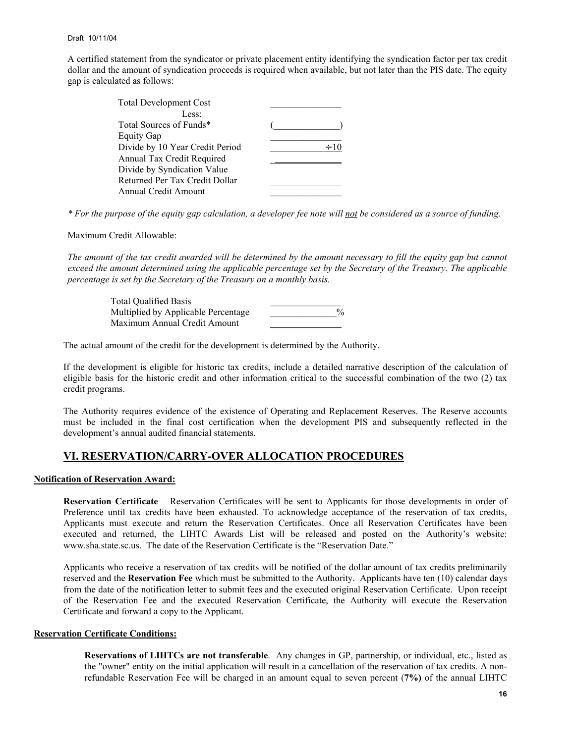A certified statement from the syndicator or private placement entity identifying the syndication factor per tax credit dollar and the amount of syndication proceeds is required when available, but not later than the PIS date. The equity gap is calculated as follows:

| <b>Total Development Cost</b>   |  |
|---------------------------------|--|
| Less:                           |  |
| Total Sources of Funds*         |  |
| <b>Equity Gap</b>               |  |
| Divide by 10 Year Credit Period |  |
| Annual Tax Credit Required      |  |
| Divide by Syndication Value     |  |
| Returned Per Tax Credit Dollar  |  |
| <b>Annual Credit Amount</b>     |  |

*\* For the purpose of the equity gap calculation, a developer fee note will not be considered as a source of funding.* 

#### Maximum Credit Allowable:

*The amount of the tax credit awarded will be determined by the amount necessary to fill the equity gap but cannot exceed the amount determined using the applicable percentage set by the Secretary of the Treasury. The applicable percentage is set by the Secretary of the Treasury on a monthly basis.* 

 Total Qualified Basis \_\_\_\_\_\_\_\_\_\_\_\_\_\_\_ Multiplied by Applicable Percentage  $\%$ Maximum Annual Credit Amount

The actual amount of the credit for the development is determined by the Authority.

If the development is eligible for historic tax credits, include a detailed narrative description of the calculation of eligible basis for the historic credit and other information critical to the successful combination of the two (2) tax credit programs.

The Authority requires evidence of the existence of Operating and Replacement Reserves. The Reserve accounts must be included in the final cost certification when the development PIS and subsequently reflected in the development's annual audited financial statements.

### **VI. RESERVATION/CARRY-OVER ALLOCATION PROCEDURES**

### **Notification of Reservation Award:**

**Reservation Certificate** – Reservation Certificates will be sent to Applicants for those developments in order of Preference until tax credits have been exhausted. To acknowledge acceptance of the reservation of tax credits, Applicants must execute and return the Reservation Certificates. Once all Reservation Certificates have been executed and returned, the LIHTC Awards List will be released and posted on the Authority's website: www.sha.state.sc.us. The date of the Reservation Certificate is the "Reservation Date."

Applicants who receive a reservation of tax credits will be notified of the dollar amount of tax credits preliminarily reserved and the **Reservation Fee** which must be submitted to the Authority. Applicants have ten (10) calendar days from the date of the notification letter to submit fees and the executed original Reservation Certificate. Upon receipt of the Reservation Fee and the executed Reservation Certificate, the Authority will execute the Reservation Certificate and forward a copy to the Applicant.

#### **Reservation Certificate Conditions:**

**Reservations of LIHTCs are not transferable**. Any changes in GP, partnership, or individual, etc., listed as the "owner" entity on the initial application will result in a cancellation of the reservation of tax credits. A nonrefundable Reservation Fee will be charged in an amount equal to seven percent (**7%)** of the annual LIHTC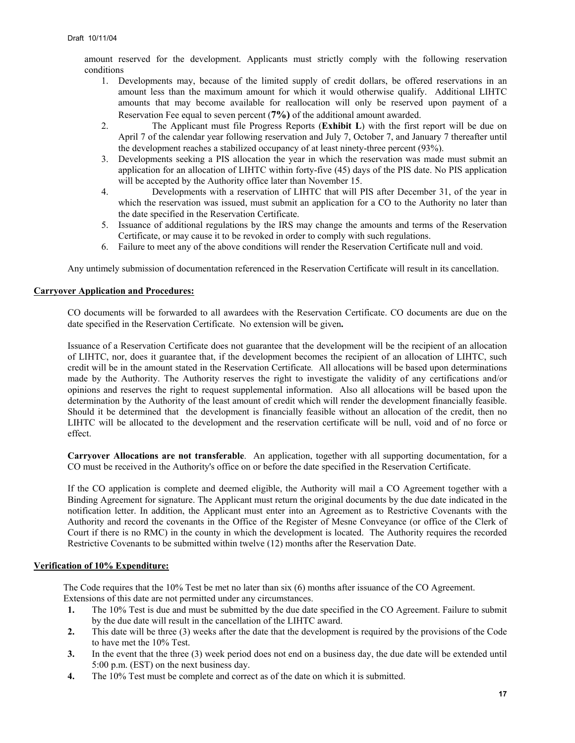amount reserved for the development. Applicants must strictly comply with the following reservation conditions

- 1. Developments may, because of the limited supply of credit dollars, be offered reservations in an amount less than the maximum amount for which it would otherwise qualify. Additional LIHTC amounts that may become available for reallocation will only be reserved upon payment of a Reservation Fee equal to seven percent (**7%)** of the additional amount awarded.
- 2. The Applicant must file Progress Reports (**Exhibit L**) with the first report will be due on April 7 of the calendar year following reservation and July 7, October 7, and January 7 thereafter until the development reaches a stabilized occupancy of at least ninety-three percent (93%).
- 3. Developments seeking a PIS allocation the year in which the reservation was made must submit an application for an allocation of LIHTC within forty-five (45) days of the PIS date. No PIS application will be accepted by the Authority office later than November 15.
- 4. Developments with a reservation of LIHTC that will PIS after December 31, of the year in which the reservation was issued, must submit an application for a CO to the Authority no later than the date specified in the Reservation Certificate.
- 5. Issuance of additional regulations by the IRS may change the amounts and terms of the Reservation Certificate, or may cause it to be revoked in order to comply with such regulations.
- 6. Failure to meet any of the above conditions will render the Reservation Certificate null and void.

Any untimely submission of documentation referenced in the Reservation Certificate will result in its cancellation.

### **Carryover Application and Procedures:**

CO documents will be forwarded to all awardees with the Reservation Certificate. CO documents are due on the date specified in the Reservation Certificate. No extension will be given**.**

Issuance of a Reservation Certificate does not guarantee that the development will be the recipient of an allocation of LIHTC, nor, does it guarantee that, if the development becomes the recipient of an allocation of LIHTC, such credit will be in the amount stated in the Reservation Certificate*.* All allocations will be based upon determinations made by the Authority. The Authority reserves the right to investigate the validity of any certifications and/or opinions and reserves the right to request supplemental information. Also all allocations will be based upon the determination by the Authority of the least amount of credit which will render the development financially feasible. Should it be determined that the development is financially feasible without an allocation of the credit, then no LIHTC will be allocated to the development and the reservation certificate will be null, void and of no force or effect.

**Carryover Allocations are not transferable**. An application, together with all supporting documentation, for a CO must be received in the Authority's office on or before the date specified in the Reservation Certificate.

If the CO application is complete and deemed eligible, the Authority will mail a CO Agreement together with a Binding Agreement for signature. The Applicant must return the original documents by the due date indicated in the notification letter. In addition, the Applicant must enter into an Agreement as to Restrictive Covenants with the Authority and record the covenants in the Office of the Register of Mesne Conveyance (or office of the Clerk of Court if there is no RMC) in the county in which the development is located. The Authority requires the recorded Restrictive Covenants to be submitted within twelve (12) months after the Reservation Date.

### **Verification of 10% Expenditure:**

The Code requires that the 10% Test be met no later than six (6) months after issuance of the CO Agreement. Extensions of this date are not permitted under any circumstances.

- **1.** The 10% Test is due and must be submitted by the due date specified in the CO Agreement. Failure to submit by the due date will result in the cancellation of the LIHTC award.
- **2.** This date will be three (3) weeks after the date that the development is required by the provisions of the Code to have met the 10% Test.
- **3.** In the event that the three (3) week period does not end on a business day, the due date will be extended until 5:00 p.m. (EST) on the next business day.
- **4.** The 10% Test must be complete and correct as of the date on which it is submitted.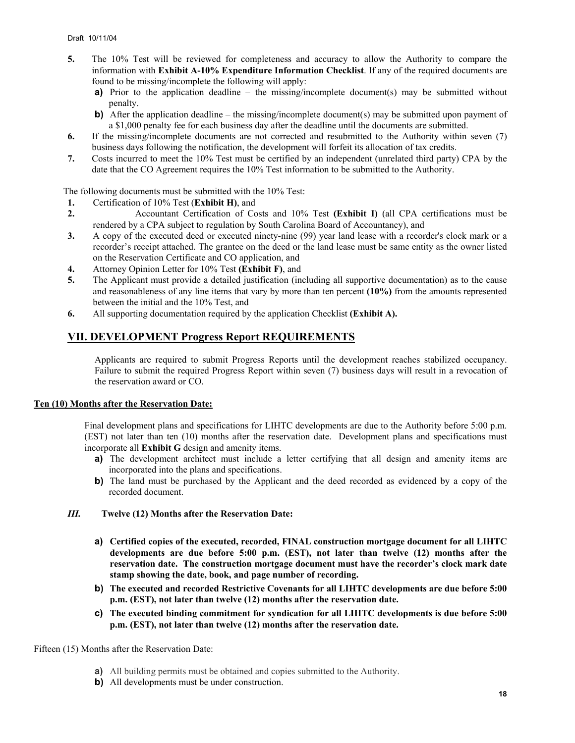- **5.** The 10% Test will be reviewed for completeness and accuracy to allow the Authority to compare the information with **Exhibit A-10% Expenditure Information Checklist**. If any of the required documents are found to be missing/incomplete the following will apply:
	- **a)** Prior to the application deadline the missing/incomplete document(s) may be submitted without penalty.
	- **b)** After the application deadline the missing/incomplete document(s) may be submitted upon payment of a \$1,000 penalty fee for each business day after the deadline until the documents are submitted.
- **6.** If the missing/incomplete documents are not corrected and resubmitted to the Authority within seven (7) business days following the notification, the development will forfeit its allocation of tax credits.
- **7.** Costs incurred to meet the 10% Test must be certified by an independent (unrelated third party) CPA by the date that the CO Agreement requires the 10% Test information to be submitted to the Authority.

The following documents must be submitted with the 10% Test:

- **1.** Certification of 10% Test (**Exhibit H)**, and
- **2.** Accountant Certification of Costs and 10% Test **(Exhibit I)** (all CPA certifications must be rendered by a CPA subject to regulation by South Carolina Board of Accountancy), and
- **3.** A copy of the executed deed or executed ninety-nine (99) year land lease with a recorder's clock mark or a recorder's receipt attached. The grantee on the deed or the land lease must be same entity as the owner listed on the Reservation Certificate and CO application, and
- **4.** Attorney Opinion Letter for 10% Test **(Exhibit F)**, and
- **5.** The Applicant must provide a detailed justification (including all supportive documentation) as to the cause and reasonableness of any line items that vary by more than ten percent **(10%)** from the amounts represented between the initial and the 10% Test, and
- **6.** All supporting documentation required by the application Checklist **(Exhibit A).**

# **VII. DEVELOPMENT Progress Report REQUIREMENTS**

Applicants are required to submit Progress Reports until the development reaches stabilized occupancy. Failure to submit the required Progress Report within seven (7) business days will result in a revocation of the reservation award or CO.

### **Ten (10) Months after the Reservation Date:**

Final development plans and specifications for LIHTC developments are due to the Authority before 5:00 p.m. (EST) not later than ten (10) months after the reservation date. Development plans and specifications must incorporate all **Exhibit G** design and amenity items.

- a) The development architect must include a letter certifying that all design and amenity items are incorporated into the plans and specifications.
- **b)** The land must be purchased by the Applicant and the deed recorded as evidenced by a copy of the recorded document.

### *III.* **Twelve (12) Months after the Reservation Date:**

- **a) Certified copies of the executed, recorded, FINAL construction mortgage document for all LIHTC developments are due before 5:00 p.m. (EST), not later than twelve (12) months after the reservation date. The construction mortgage document must have the recorder's clock mark date stamp showing the date, book, and page number of recording.**
- **b) The executed and recorded Restrictive Covenants for all LIHTC developments are due before 5:00 p.m. (EST), not later than twelve (12) months after the reservation date.**
- **c) The executed binding commitment for syndication for all LIHTC developments is due before 5:00 p.m. (EST), not later than twelve (12) months after the reservation date.**

#### Fifteen (15) Months after the Reservation Date:

- **a)** All building permits must be obtained and copies submitted to the Authority.
- **b)** All developments must be under construction.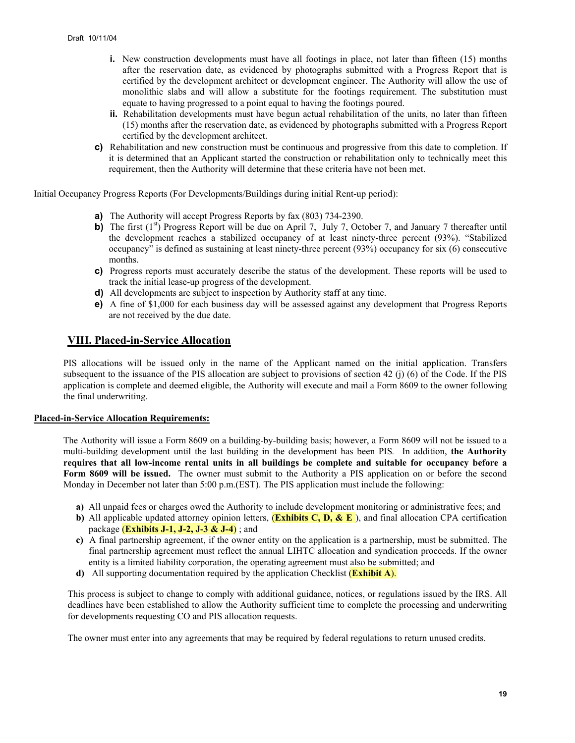- **i.** New construction developments must have all footings in place, not later than fifteen (15) months after the reservation date, as evidenced by photographs submitted with a Progress Report that is certified by the development architect or development engineer. The Authority will allow the use of monolithic slabs and will allow a substitute for the footings requirement. The substitution must equate to having progressed to a point equal to having the footings poured.
- **ii.** Rehabilitation developments must have begun actual rehabilitation of the units, no later than fifteen (15) months after the reservation date, as evidenced by photographs submitted with a Progress Report certified by the development architect.
- **c)** Rehabilitation and new construction must be continuous and progressive from this date to completion. If it is determined that an Applicant started the construction or rehabilitation only to technically meet this requirement, then the Authority will determine that these criteria have not been met.

Initial Occupancy Progress Reports (For Developments/Buildings during initial Rent-up period):

- **a)** The Authority will accept Progress Reports by fax (803) 734-2390.
- **b)** The first (1<sup>st</sup>) Progress Report will be due on April 7, July 7, October 7, and January 7 thereafter until the development reaches a stabilized occupancy of at least ninety-three percent (93%). "Stabilized occupancy" is defined as sustaining at least ninety-three percent (93%) occupancy for six (6) consecutive months.
- **c)** Progress reports must accurately describe the status of the development. These reports will be used to track the initial lease-up progress of the development.
- **d)** All developments are subject to inspection by Authority staff at any time.
- **e)** A fine of \$1,000 for each business day will be assessed against any development that Progress Reports are not received by the due date.

### **VIII. Placed-in-Service Allocation**

PIS allocations will be issued only in the name of the Applicant named on the initial application. Transfers subsequent to the issuance of the PIS allocation are subject to provisions of section 42 (j) (6) of the Code. If the PIS application is complete and deemed eligible, the Authority will execute and mail a Form 8609 to the owner following the final underwriting.

### **Placed-in-Service Allocation Requirements:**

The Authority will issue a Form 8609 on a building-by-building basis; however, a Form 8609 will not be issued to a multi-building development until the last building in the development has been PIS*.* In addition, **the Authority requires that all low-income rental units in all buildings be complete and suitable for occupancy before a Form 8609 will be issued.** The owner must submit to the Authority a PIS application on or before the second Monday in December not later than 5:00 p.m.(EST). The PIS application must include the following:

- **a)** All unpaid fees or charges owed the Authority to include development monitoring or administrative fees; and
- **b)** All applicable updated attorney opinion letters, (**Exhibits C, D, & E** ), and final allocation CPA certification package (**Exhibits J-1, J-2, J-3 & J-4**) ; and
- **c)** A final partnership agreement, if the owner entity on the application is a partnership, must be submitted. The final partnership agreement must reflect the annual LIHTC allocation and syndication proceeds. If the owner entity is a limited liability corporation, the operating agreement must also be submitted; and
- **d)** All supporting documentation required by the application Checklist (**Exhibit A**).

This process is subject to change to comply with additional guidance, notices, or regulations issued by the IRS. All deadlines have been established to allow the Authority sufficient time to complete the processing and underwriting for developments requesting CO and PIS allocation requests.

The owner must enter into any agreements that may be required by federal regulations to return unused credits.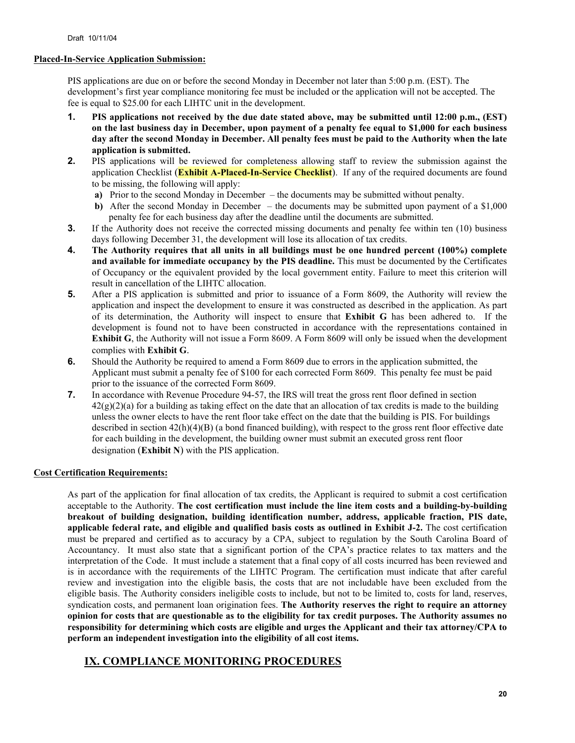### **Placed-In-Service Application Submission:**

PIS applications are due on or before the second Monday in December not later than 5:00 p.m. (EST). The development's first year compliance monitoring fee must be included or the application will not be accepted. The fee is equal to \$25.00 for each LIHTC unit in the development.

- **1. PIS applications not received by the due date stated above, may be submitted until 12:00 p.m., (EST) on the last business day in December, upon payment of a penalty fee equal to \$1,000 for each business day after the second Monday in December. All penalty fees must be paid to the Authority when the late application is submitted.**
- **2.** PIS applications will be reviewed for completeness allowing staff to review the submission against the application Checklist (**Exhibit A-Placed-In-Service Checklist**). If any of the required documents are found to be missing, the following will apply:
	- **a)** Prior to the second Monday in December the documents may be submitted without penalty.
	- **b)** After the second Monday in December the documents may be submitted upon payment of a \$1,000 penalty fee for each business day after the deadline until the documents are submitted.
- **3.** If the Authority does not receive the corrected missing documents and penalty fee within ten (10) business days following December 31, the development will lose its allocation of tax credits.
- **4. The Authority requires that all units in all buildings must be one hundred percent (100%) complete and available for immediate occupancy by the PIS deadline.** This must be documented by the Certificates of Occupancy or the equivalent provided by the local government entity. Failure to meet this criterion will result in cancellation of the LIHTC allocation.
- **5.** After a PIS application is submitted and prior to issuance of a Form 8609, the Authority will review the application and inspect the development to ensure it was constructed as described in the application. As part of its determination, the Authority will inspect to ensure that **Exhibit G** has been adhered to. If the development is found not to have been constructed in accordance with the representations contained in **Exhibit G**, the Authority will not issue a Form 8609. A Form 8609 will only be issued when the development complies with **Exhibit G**.
- **6.** Should the Authority be required to amend a Form 8609 due to errors in the application submitted, the Applicant must submit a penalty fee of \$100 for each corrected Form 8609. This penalty fee must be paid prior to the issuance of the corrected Form 8609.
- **7.** In accordance with Revenue Procedure 94-57, the IRS will treat the gross rent floor defined in section  $42(g)(2)(a)$  for a building as taking effect on the date that an allocation of tax credits is made to the building unless the owner elects to have the rent floor take effect on the date that the building is PIS. For buildings described in section  $42(h)(4)(B)$  (a bond financed building), with respect to the gross rent floor effective date for each building in the development, the building owner must submit an executed gross rent floor designation (**Exhibit N**) with the PIS application.

### **Cost Certification Requirements:**

As part of the application for final allocation of tax credits, the Applicant is required to submit a cost certification acceptable to the Authority. **The cost certification must include the line item costs and a building-by-building breakout of building designation, building identification number, address, applicable fraction, PIS date, applicable federal rate, and eligible and qualified basis costs as outlined in Exhibit J-2.** The cost certification must be prepared and certified as to accuracy by a CPA, subject to regulation by the South Carolina Board of Accountancy. It must also state that a significant portion of the CPA's practice relates to tax matters and the interpretation of the Code. It must include a statement that a final copy of all costs incurred has been reviewed and is in accordance with the requirements of the LIHTC Program. The certification must indicate that after careful review and investigation into the eligible basis, the costs that are not includable have been excluded from the eligible basis. The Authority considers ineligible costs to include, but not to be limited to, costs for land, reserves, syndication costs, and permanent loan origination fees. **The Authority reserves the right to require an attorney opinion for costs that are questionable as to the eligibility for tax credit purposes. The Authority assumes no responsibility for determining which costs are eligible and urges the Applicant and their tax attorney/CPA to perform an independent investigation into the eligibility of all cost items.** 

# **IX. COMPLIANCE MONITORING PROCEDURES**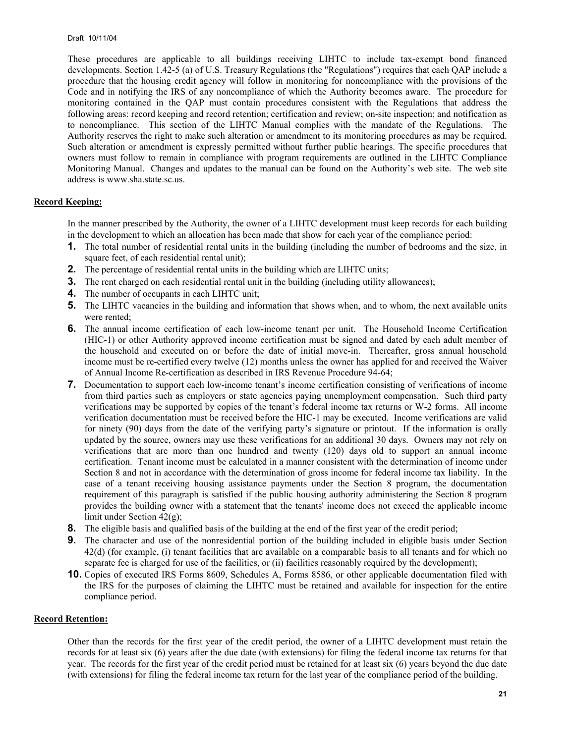These procedures are applicable to all buildings receiving LIHTC to include tax-exempt bond financed developments. Section 1.42-5 (a) of U.S. Treasury Regulations (the "Regulations") requires that each QAP include a procedure that the housing credit agency will follow in monitoring for noncompliance with the provisions of the Code and in notifying the IRS of any noncompliance of which the Authority becomes aware. The procedure for monitoring contained in the QAP must contain procedures consistent with the Regulations that address the following areas: record keeping and record retention; certification and review; on-site inspection; and notification as to noncompliance. This section of the LIHTC Manual complies with the mandate of the Regulations. The Authority reserves the right to make such alteration or amendment to its monitoring procedures as may be required. Such alteration or amendment is expressly permitted without further public hearings. The specific procedures that owners must follow to remain in compliance with program requirements are outlined in the LIHTC Compliance Monitoring Manual. Changes and updates to the manual can be found on the Authority's web site. The web site address is www.sha.state.sc.us.

### **Record Keeping:**

In the manner prescribed by the Authority, the owner of a LIHTC development must keep records for each building in the development to which an allocation has been made that show for each year of the compliance period:

- **1.** The total number of residential rental units in the building (including the number of bedrooms and the size, in square feet, of each residential rental unit);
- **2.** The percentage of residential rental units in the building which are LIHTC units;
- **3.** The rent charged on each residential rental unit in the building (including utility allowances);
- **4.** The number of occupants in each LIHTC unit;
- **5.** The LIHTC vacancies in the building and information that shows when, and to whom, the next available units were rented;
- **6.** The annual income certification of each low-income tenant per unit. The Household Income Certification (HIC-1) or other Authority approved income certification must be signed and dated by each adult member of the household and executed on or before the date of initial move-in. Thereafter, gross annual household income must be re-certified every twelve (12) months unless the owner has applied for and received the Waiver of Annual Income Re-certification as described in IRS Revenue Procedure 94-64;
- **7.** Documentation to support each low-income tenant's income certification consisting of verifications of income from third parties such as employers or state agencies paying unemployment compensation. Such third party verifications may be supported by copies of the tenant's federal income tax returns or W-2 forms. All income verification documentation must be received before the HIC-1 may be executed. Income verifications are valid for ninety (90) days from the date of the verifying party's signature or printout. If the information is orally updated by the source, owners may use these verifications for an additional 30 days. Owners may not rely on verifications that are more than one hundred and twenty (120) days old to support an annual income certification. Tenant income must be calculated in a manner consistent with the determination of income under Section 8 and not in accordance with the determination of gross income for federal income tax liability. In the case of a tenant receiving housing assistance payments under the Section 8 program, the documentation requirement of this paragraph is satisfied if the public housing authority administering the Section 8 program provides the building owner with a statement that the tenants' income does not exceed the applicable income limit under Section 42(g);
- **8.** The eligible basis and qualified basis of the building at the end of the first year of the credit period;
- **9.** The character and use of the nonresidential portion of the building included in eligible basis under Section 42(d) (for example, (i) tenant facilities that are available on a comparable basis to all tenants and for which no separate fee is charged for use of the facilities, or (ii) facilities reasonably required by the development);
- **10.** Copies of executed IRS Forms 8609, Schedules A, Forms 8586, or other applicable documentation filed with the IRS for the purposes of claiming the LIHTC must be retained and available for inspection for the entire compliance period.

#### **Record Retention:**

Other than the records for the first year of the credit period, the owner of a LIHTC development must retain the records for at least six (6) years after the due date (with extensions) for filing the federal income tax returns for that year. The records for the first year of the credit period must be retained for at least six (6) years beyond the due date (with extensions) for filing the federal income tax return for the last year of the compliance period of the building.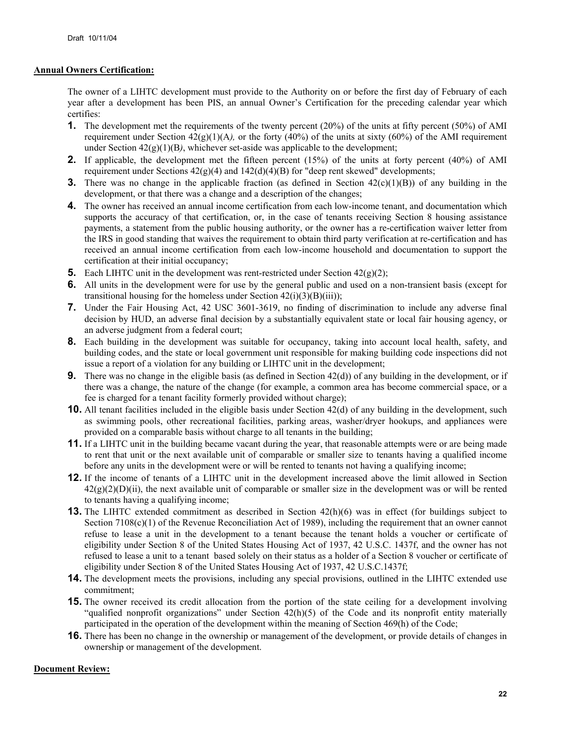### **Annual Owners Certification:**

The owner of a LIHTC development must provide to the Authority on or before the first day of February of each year after a development has been PIS, an annual Owner's Certification for the preceding calendar year which certifies:

- **1.** The development met the requirements of the twenty percent (20%) of the units at fifty percent (50%) of AMI requirement under Section  $42(g)(1)(A)$ , or the forty  $(40\%)$  of the units at sixty  $(60\%)$  of the AMI requirement under Section 42(g)(1)(B*)*, whichever set-aside was applicable to the development;
- **2.** If applicable, the development met the fifteen percent (15%) of the units at forty percent (40%) of AMI requirement under Sections  $42(g)(4)$  and  $142(d)(4)(B)$  for "deep rent skewed" developments;
- **3.** There was no change in the applicable fraction (as defined in Section  $42(c)(1)(B)$ ) of any building in the development, or that there was a change and a description of the changes;
- **4.** The owner has received an annual income certification from each low-income tenant, and documentation which supports the accuracy of that certification, or, in the case of tenants receiving Section 8 housing assistance payments, a statement from the public housing authority, or the owner has a re-certification waiver letter from the IRS in good standing that waives the requirement to obtain third party verification at re-certification and has received an annual income certification from each low-income household and documentation to support the certification at their initial occupancy;
- **5.** Each LIHTC unit in the development was rent-restricted under Section 42(g)(2);
- **6.** All units in the development were for use by the general public and used on a non-transient basis (except for transitional housing for the homeless under Section  $42(i)(3)(B)(iii)$ ;
- **7.** Under the Fair Housing Act, 42 USC 3601-3619, no finding of discrimination to include any adverse final decision by HUD, an adverse final decision by a substantially equivalent state or local fair housing agency, or an adverse judgment from a federal court;
- **8.** Each building in the development was suitable for occupancy, taking into account local health, safety, and building codes, and the state or local government unit responsible for making building code inspections did not issue a report of a violation for any building or LIHTC unit in the development;
- **9.** There was no change in the eligible basis (as defined in Section 42(d)) of any building in the development, or if there was a change, the nature of the change (for example, a common area has become commercial space, or a fee is charged for a tenant facility formerly provided without charge);
- **10.** All tenant facilities included in the eligible basis under Section 42(d) of any building in the development, such as swimming pools, other recreational facilities, parking areas, washer/dryer hookups, and appliances were provided on a comparable basis without charge to all tenants in the building;
- **11.** If a LIHTC unit in the building became vacant during the year, that reasonable attempts were or are being made to rent that unit or the next available unit of comparable or smaller size to tenants having a qualified income before any units in the development were or will be rented to tenants not having a qualifying income;
- **12.** If the income of tenants of a LIHTC unit in the development increased above the limit allowed in Section  $42(g)(2)(D)(ii)$ , the next available unit of comparable or smaller size in the development was or will be rented to tenants having a qualifying income;
- **13.** The LIHTC extended commitment as described in Section 42(h)(6) was in effect (for buildings subject to Section 7108(c)(1) of the Revenue Reconciliation Act of 1989), including the requirement that an owner cannot refuse to lease a unit in the development to a tenant because the tenant holds a voucher or certificate of eligibility under Section 8 of the United States Housing Act of 1937, 42 U.S.C. 1437f, and the owner has not refused to lease a unit to a tenant based solely on their status as a holder of a Section 8 voucher or certificate of eligibility under Section 8 of the United States Housing Act of 1937, 42 U.S.C.1437f;
- **14.** The development meets the provisions, including any special provisions, outlined in the LIHTC extended use commitment;
- **15.** The owner received its credit allocation from the portion of the state ceiling for a development involving "qualified nonprofit organizations" under Section 42(h)(5) of the Code and its nonprofit entity materially participated in the operation of the development within the meaning of Section 469(h) of the Code;
- **16.** There has been no change in the ownership or management of the development, or provide details of changes in ownership or management of the development.

### **Document Review:**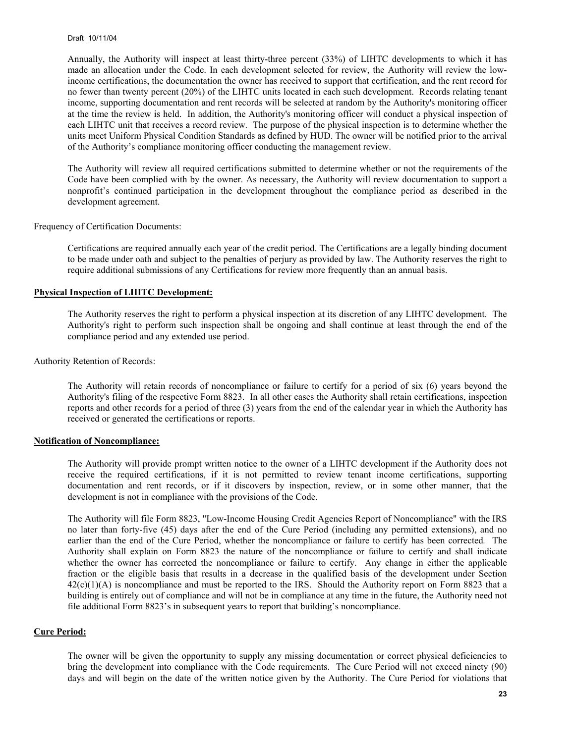Annually, the Authority will inspect at least thirty-three percent (33%) of LIHTC developments to which it has made an allocation under the Code. In each development selected for review, the Authority will review the lowincome certifications, the documentation the owner has received to support that certification, and the rent record for no fewer than twenty percent (20%) of the LIHTC units located in each such development. Records relating tenant income, supporting documentation and rent records will be selected at random by the Authority's monitoring officer at the time the review is held. In addition, the Authority's monitoring officer will conduct a physical inspection of each LIHTC unit that receives a record review. The purpose of the physical inspection is to determine whether the units meet Uniform Physical Condition Standards as defined by HUD. The owner will be notified prior to the arrival of the Authority's compliance monitoring officer conducting the management review.

The Authority will review all required certifications submitted to determine whether or not the requirements of the Code have been complied with by the owner. As necessary, the Authority will review documentation to support a nonprofit's continued participation in the development throughout the compliance period as described in the development agreement.

Frequency of Certification Documents:

Certifications are required annually each year of the credit period. The Certifications are a legally binding document to be made under oath and subject to the penalties of perjury as provided by law. The Authority reserves the right to require additional submissions of any Certifications for review more frequently than an annual basis.

#### **Physical Inspection of LIHTC Development:**

The Authority reserves the right to perform a physical inspection at its discretion of any LIHTC development. The Authority's right to perform such inspection shall be ongoing and shall continue at least through the end of the compliance period and any extended use period.

Authority Retention of Records:

The Authority will retain records of noncompliance or failure to certify for a period of six (6) years beyond the Authority's filing of the respective Form 8823. In all other cases the Authority shall retain certifications, inspection reports and other records for a period of three (3) years from the end of the calendar year in which the Authority has received or generated the certifications or reports.

#### **Notification of Noncompliance:**

The Authority will provide prompt written notice to the owner of a LIHTC development if the Authority does not receive the required certifications, if it is not permitted to review tenant income certifications, supporting documentation and rent records, or if it discovers by inspection, review, or in some other manner, that the development is not in compliance with the provisions of the Code.

The Authority will file Form 8823, "Low-Income Housing Credit Agencies Report of Noncompliance" with the IRS no later than forty-five (45) days after the end of the Cure Period (including any permitted extensions), and no earlier than the end of the Cure Period, whether the noncompliance or failure to certify has been corrected*.* The Authority shall explain on Form 8823 the nature of the noncompliance or failure to certify and shall indicate whether the owner has corrected the noncompliance or failure to certify. Any change in either the applicable fraction or the eligible basis that results in a decrease in the qualified basis of the development under Section  $42(c)(1)(A)$  is noncompliance and must be reported to the IRS. Should the Authority report on Form 8823 that a building is entirely out of compliance and will not be in compliance at any time in the future, the Authority need not file additional Form 8823's in subsequent years to report that building's noncompliance.

#### **Cure Period:**

The owner will be given the opportunity to supply any missing documentation or correct physical deficiencies to bring the development into compliance with the Code requirements. The Cure Period will not exceed ninety (90) days and will begin on the date of the written notice given by the Authority. The Cure Period for violations that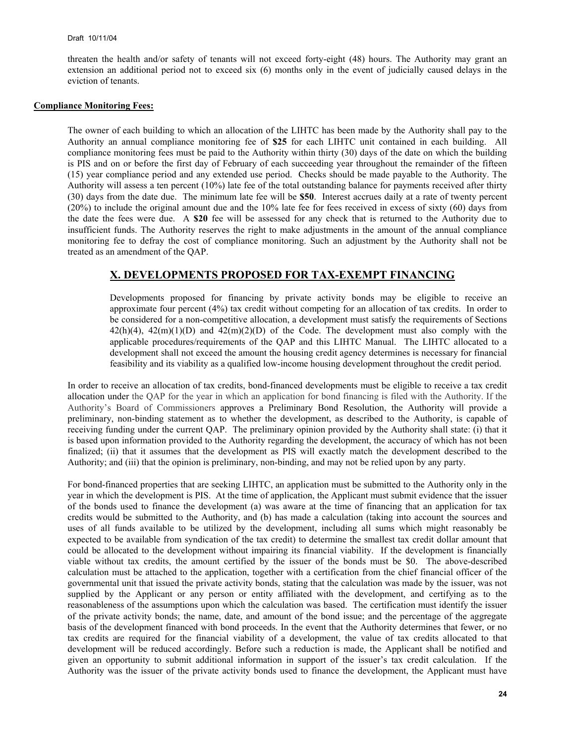threaten the health and/or safety of tenants will not exceed forty-eight (48) hours. The Authority may grant an extension an additional period not to exceed six (6) months only in the event of judicially caused delays in the eviction of tenants.

#### **Compliance Monitoring Fees:**

The owner of each building to which an allocation of the LIHTC has been made by the Authority shall pay to the Authority an annual compliance monitoring fee of **\$25** for each LIHTC unit contained in each building. All compliance monitoring fees must be paid to the Authority within thirty (30) days of the date on which the building is PIS and on or before the first day of February of each succeeding year throughout the remainder of the fifteen (15) year compliance period and any extended use period. Checks should be made payable to the Authority. The Authority will assess a ten percent (10%) late fee of the total outstanding balance for payments received after thirty (30) days from the date due. The minimum late fee will be **\$50**. Interest accrues daily at a rate of twenty percent (20%) to include the original amount due and the 10% late fee for fees received in excess of sixty (60) days from the date the fees were due. A **\$20** fee will be assessed for any check that is returned to the Authority due to insufficient funds. The Authority reserves the right to make adjustments in the amount of the annual compliance monitoring fee to defray the cost of compliance monitoring. Such an adjustment by the Authority shall not be treated as an amendment of the QAP.

### **X. DEVELOPMENTS PROPOSED FOR TAX-EXEMPT FINANCING**

Developments proposed for financing by private activity bonds may be eligible to receive an approximate four percent (4%) tax credit without competing for an allocation of tax credits. In order to be considered for a non-competitive allocation, a development must satisfy the requirements of Sections  $42(h)(4)$ ,  $42(m)(1)(D)$  and  $42(m)(2)(D)$  of the Code. The development must also comply with the applicable procedures/requirements of the QAP and this LIHTC Manual. The LIHTC allocated to a development shall not exceed the amount the housing credit agency determines is necessary for financial feasibility and its viability as a qualified low-income housing development throughout the credit period.

In order to receive an allocation of tax credits, bond-financed developments must be eligible to receive a tax credit allocation under the QAP for the year in which an application for bond financing is filed with the Authority. If the Authority's Board of Commissioners approves a Preliminary Bond Resolution, the Authority will provide a preliminary, non-binding statement as to whether the development, as described to the Authority, is capable of receiving funding under the current QAP. The preliminary opinion provided by the Authority shall state: (i) that it is based upon information provided to the Authority regarding the development, the accuracy of which has not been finalized; (ii) that it assumes that the development as PIS will exactly match the development described to the Authority; and (iii) that the opinion is preliminary, non-binding, and may not be relied upon by any party.

For bond-financed properties that are seeking LIHTC, an application must be submitted to the Authority only in the year in which the development is PIS. At the time of application, the Applicant must submit evidence that the issuer of the bonds used to finance the development (a) was aware at the time of financing that an application for tax credits would be submitted to the Authority, and (b) has made a calculation (taking into account the sources and uses of all funds available to be utilized by the development, including all sums which might reasonably be expected to be available from syndication of the tax credit) to determine the smallest tax credit dollar amount that could be allocated to the development without impairing its financial viability. If the development is financially viable without tax credits, the amount certified by the issuer of the bonds must be \$0. The above-described calculation must be attached to the application, together with a certification from the chief financial officer of the governmental unit that issued the private activity bonds, stating that the calculation was made by the issuer, was not supplied by the Applicant or any person or entity affiliated with the development, and certifying as to the reasonableness of the assumptions upon which the calculation was based. The certification must identify the issuer of the private activity bonds; the name, date, and amount of the bond issue; and the percentage of the aggregate basis of the development financed with bond proceeds. In the event that the Authority determines that fewer, or no tax credits are required for the financial viability of a development, the value of tax credits allocated to that development will be reduced accordingly. Before such a reduction is made, the Applicant shall be notified and given an opportunity to submit additional information in support of the issuer's tax credit calculation. If the Authority was the issuer of the private activity bonds used to finance the development, the Applicant must have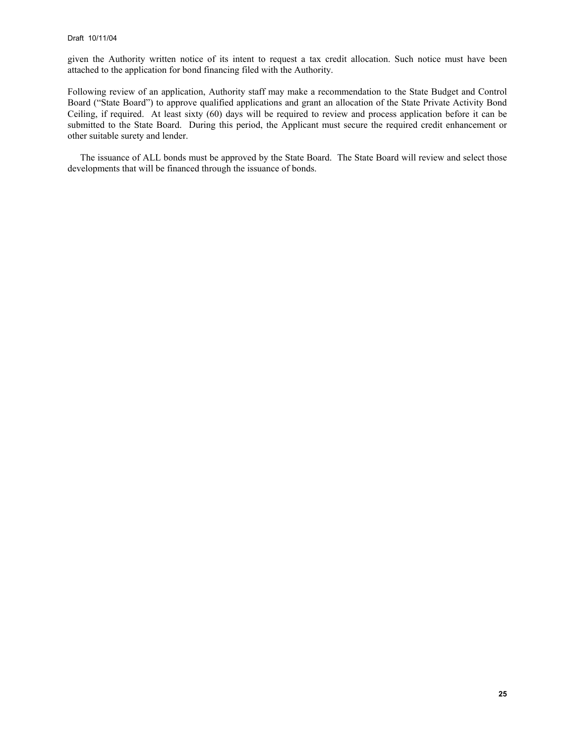given the Authority written notice of its intent to request a tax credit allocation. Such notice must have been attached to the application for bond financing filed with the Authority.

Following review of an application, Authority staff may make a recommendation to the State Budget and Control Board ("State Board") to approve qualified applications and grant an allocation of the State Private Activity Bond Ceiling, if required. At least sixty (60) days will be required to review and process application before it can be submitted to the State Board. During this period, the Applicant must secure the required credit enhancement or other suitable surety and lender.

The issuance of ALL bonds must be approved by the State Board. The State Board will review and select those developments that will be financed through the issuance of bonds.